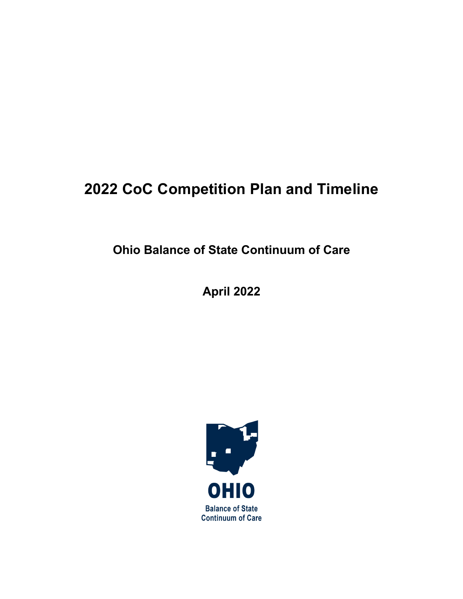# **2022 CoC Competition Plan and Timeline**

**Ohio Balance of State Continuum of Care**

**April 2022**

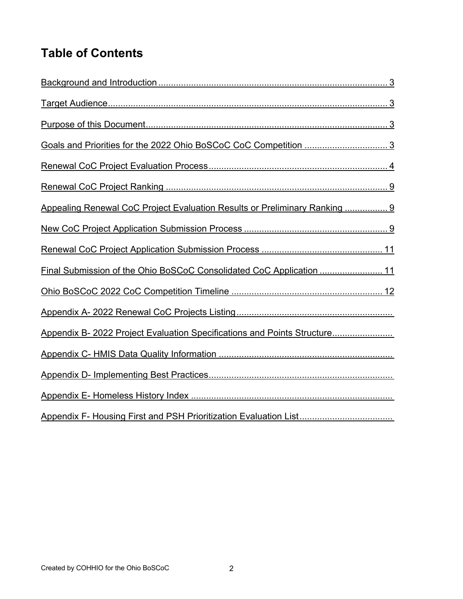# **Table of Contents**

| Appealing Renewal CoC Project Evaluation Results or Preliminary Ranking  9 |
|----------------------------------------------------------------------------|
|                                                                            |
|                                                                            |
| Final Submission of the Ohio BoSCoC Consolidated CoC Application  11       |
|                                                                            |
|                                                                            |
| Appendix B- 2022 Project Evaluation Specifications and Points Structure    |
|                                                                            |
|                                                                            |
|                                                                            |
|                                                                            |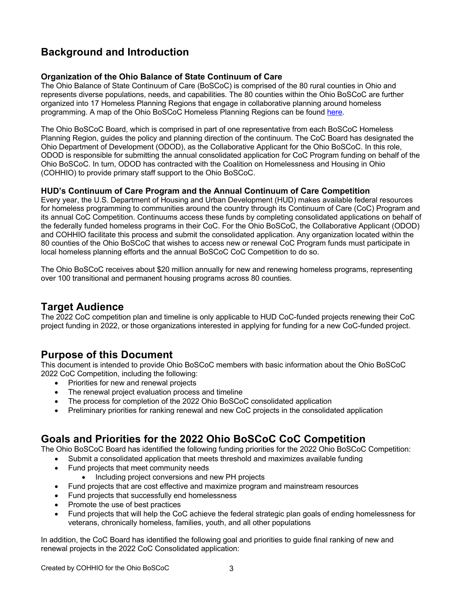# **Background and Introduction**

#### **Organization of the Ohio Balance of State Continuum of Care**

The Ohio Balance of State Continuum of Care (BoSCoC) is comprised of the 80 rural counties in Ohio and represents diverse populations, needs, and capabilities. The 80 counties within the Ohio BoSCoC are further organized into 17 Homeless Planning Regions that engage in collaborative planning around homeless programming. A map of the Ohio BoSCoC Homeless Planning Regions can be found here.

The Ohio BoSCoC Board, which is comprised in part of one representative from each BoSCoC Homeless Planning Region, guides the policy and planning direction of the continuum. The CoC Board has designated the Ohio Department of Development (ODOD), as the Collaborative Applicant for the Ohio BoSCoC. In this role, ODOD is responsible for submitting the annual consolidated application for CoC Program funding on behalf of the Ohio BoSCoC. In turn, ODOD has contracted with the Coalition on Homelessness and Housing in Ohio (COHHIO) to provide primary staff support to the Ohio BoSCoC.

#### **HUD's Continuum of Care Program and the Annual Continuum of Care Competition**

Every year, the U.S. Department of Housing and Urban Development (HUD) makes available federal resources for homeless programming to communities around the country through its Continuum of Care (CoC) Program and its annual CoC Competition. Continuums access these funds by completing consolidated applications on behalf of the federally funded homeless programs in their CoC. For the Ohio BoSCoC, the Collaborative Applicant (ODOD) and COHHIO facilitate this process and submit the consolidated application. Any organization located within the 80 counties of the Ohio BoSCoC that wishes to access new or renewal CoC Program funds must participate in local homeless planning efforts and the annual BoSCoC CoC Competition to do so.

The Ohio BoSCoC receives about \$20 million annually for new and renewing homeless programs, representing over 100 transitional and permanent housing programs across 80 counties.

## **Target Audience**

The 2022 CoC competition plan and timeline is only applicable to HUD CoC-funded projects renewing their CoC project funding in 2022, or those organizations interested in applying for funding for a new CoC-funded project.

## **Purpose of this Document**

This document is intended to provide Ohio BoSCoC members with basic information about the Ohio BoSCoC 2022 CoC Competition, including the following:

- Priorities for new and renewal projects
- The renewal project evaluation process and timeline
- The process for completion of the 2022 Ohio BoSCoC consolidated application
- Preliminary priorities for ranking renewal and new CoC projects in the consolidated application

# **Goals and Priorities for the 2022 Ohio BoSCoC CoC Competition**

The Ohio BoSCoC Board has identified the following funding priorities for the 2022 Ohio BoSCoC Competition:

- Submit a consolidated application that meets threshold and maximizes available funding
- Fund projects that meet community needs
	- Including project conversions and new PH projects
- Fund projects that are cost effective and maximize program and mainstream resources
- Fund projects that successfully end homelessness
- Promote the use of best practices
- Fund projects that will help the CoC achieve the federal strategic plan goals of ending homelessness for veterans, chronically homeless, families, youth, and all other populations

In addition, the CoC Board has identified the following goal and priorities to guide final ranking of new and renewal projects in the 2022 CoC Consolidated application: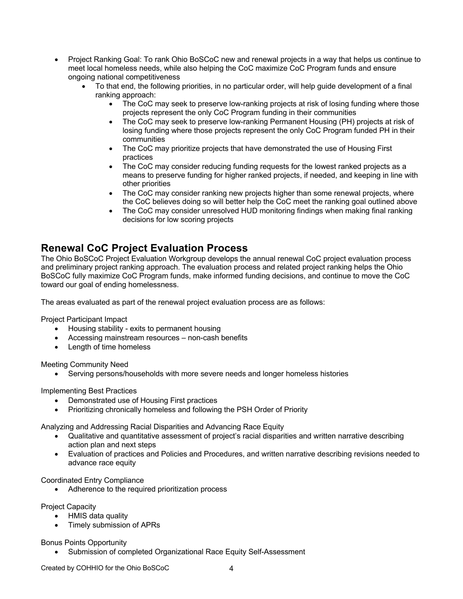- Project Ranking Goal: To rank Ohio BoSCoC new and renewal projects in a way that helps us continue to meet local homeless needs, while also helping the CoC maximize CoC Program funds and ensure ongoing national competitiveness
	- To that end, the following priorities, in no particular order, will help guide development of a final ranking approach:
		- The CoC may seek to preserve low-ranking projects at risk of losing funding where those projects represent the only CoC Program funding in their communities
		- The CoC may seek to preserve low-ranking Permanent Housing (PH) projects at risk of losing funding where those projects represent the only CoC Program funded PH in their communities
		- The CoC may prioritize projects that have demonstrated the use of Housing First practices
		- The CoC may consider reducing funding requests for the lowest ranked projects as a means to preserve funding for higher ranked projects, if needed, and keeping in line with other priorities
		- The CoC may consider ranking new projects higher than some renewal projects, where the CoC believes doing so will better help the CoC meet the ranking goal outlined above
		- The CoC may consider unresolved HUD monitoring findings when making final ranking decisions for low scoring projects

## **Renewal CoC Project Evaluation Process**

The Ohio BoSCoC Project Evaluation Workgroup develops the annual renewal CoC project evaluation process and preliminary project ranking approach. The evaluation process and related project ranking helps the Ohio BoSCoC fully maximize CoC Program funds, make informed funding decisions, and continue to move the CoC toward our goal of ending homelessness.

The areas evaluated as part of the renewal project evaluation process are as follows:

Project Participant Impact

- Housing stability exits to permanent housing
- Accessing mainstream resources non-cash benefits
- Length of time homeless

Meeting Community Need

• Serving persons/households with more severe needs and longer homeless histories

Implementing Best Practices

- Demonstrated use of Housing First practices
- Prioritizing chronically homeless and following the PSH Order of Priority

Analyzing and Addressing Racial Disparities and Advancing Race Equity

- Qualitative and quantitative assessment of project's racial disparities and written narrative describing action plan and next steps
- Evaluation of practices and Policies and Procedures, and written narrative describing revisions needed to advance race equity

Coordinated Entry Compliance

• Adherence to the required prioritization process

Project Capacity

- HMIS data quality
- Timely submission of APRs

Bonus Points Opportunity

• Submission of completed Organizational Race Equity Self-Assessment

Created by COHHIO for the Ohio BoSCoC 4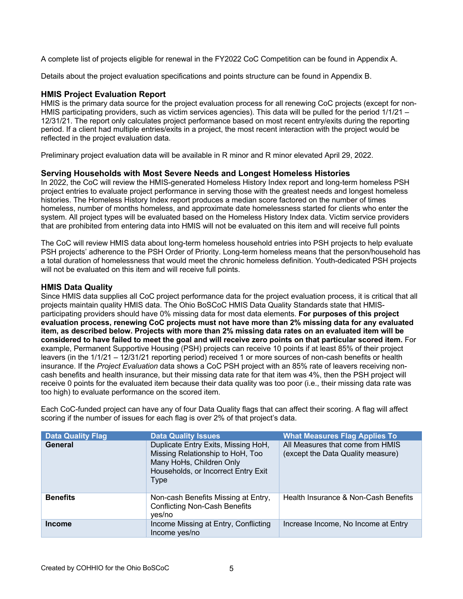A complete list of projects eligible for renewal in the FY2022 CoC Competition can be found in Appendix A.

Details about the project evaluation specifications and points structure can be found in Appendix B.

#### **HMIS Project Evaluation Report**

HMIS is the primary data source for the project evaluation process for all renewing CoC projects (except for non-HMIS participating providers, such as victim services agencies). This data will be pulled for the period 1/1/21 – 12/31/21. The report only calculates project performance based on most recent entry/exits during the reporting period. If a client had multiple entries/exits in a project, the most recent interaction with the project would be reflected in the project evaluation data.

Preliminary project evaluation data will be available in R minor and R minor elevated April 29, 2022.

#### **Serving Households with Most Severe Needs and Longest Homeless Histories**

In 2022, the CoC will review the HMIS-generated Homeless History Index report and long-term homeless PSH project entries to evaluate project performance in serving those with the greatest needs and longest homeless histories. The Homeless History Index report produces a median score factored on the number of times homeless, number of months homeless, and approximate date homelessness started for clients who enter the system. All project types will be evaluated based on the Homeless History Index data. Victim service providers that are prohibited from entering data into HMIS will not be evaluated on this item and will receive full points

The CoC will review HMIS data about long-term homeless household entries into PSH projects to help evaluate PSH projects' adherence to the PSH Order of Priority. Long-term homeless means that the person/household has a total duration of homelessness that would meet the chronic homeless definition. Youth-dedicated PSH projects will not be evaluated on this item and will receive full points.

#### **HMIS Data Quality**

Since HMIS data supplies all CoC project performance data for the project evaluation process, it is critical that all projects maintain quality HMIS data. The Ohio BoSCoC HMIS Data Quality Standards state that HMISparticipating providers should have 0% missing data for most data elements. **For purposes of this project evaluation process, renewing CoC projects must not have more than 2% missing data for any evaluated item, as described below. Projects with more than 2% missing data rates on an evaluated item will be considered to have failed to meet the goal and will receive zero points on that particular scored item.** For example, Permanent Supportive Housing (PSH) projects can receive 10 points if at least 85% of their project leavers (in the 1/1/21 – 12/31/21 reporting period) received 1 or more sources of non-cash benefits or health insurance. If the *Project Evaluation* data shows a CoC PSH project with an 85% rate of leavers receiving noncash benefits and health insurance, but their missing data rate for that item was 4%, then the PSH project will receive 0 points for the evaluated item because their data quality was too poor (i.e., their missing data rate was too high) to evaluate performance on the scored item.

Each CoC-funded project can have any of four Data Quality flags that can affect their scoring. A flag will affect scoring if the number of issues for each flag is over 2% of that project's data.

| <b>Data Quality Flag</b> | <b>Data Quality Issues</b>                                                                                                                                | <b>What Measures Flag Applies To</b>                                  |
|--------------------------|-----------------------------------------------------------------------------------------------------------------------------------------------------------|-----------------------------------------------------------------------|
| <b>General</b>           | Duplicate Entry Exits, Missing HoH,<br>Missing Relationship to HoH, Too<br>Many HoHs, Children Only<br>Households, or Incorrect Entry Exit<br><b>Type</b> | All Measures that come from HMIS<br>(except the Data Quality measure) |
| <b>Benefits</b>          | Non-cash Benefits Missing at Entry,<br><b>Conflicting Non-Cash Benefits</b><br>yes/no                                                                     | Health Insurance & Non-Cash Benefits                                  |
| <b>Income</b>            | Income Missing at Entry, Conflicting<br>Income yes/no                                                                                                     | Increase Income, No Income at Entry                                   |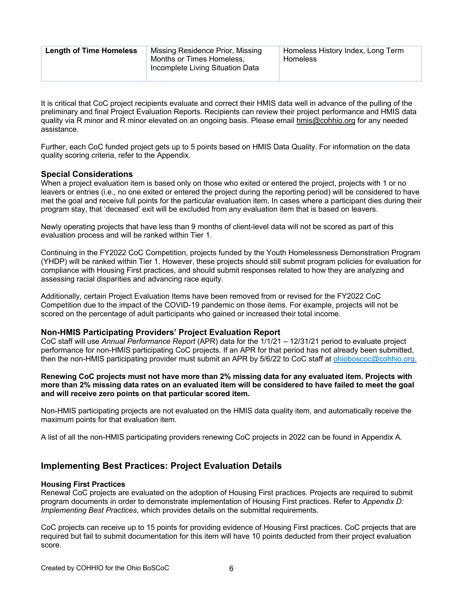| <b>Length of Time Homeless</b> | Missing Residence Prior, Missing<br>Months or Times Homeless,<br>Incomplete Living Situation Data | Homeless History Index, Long Term<br>Homeless |
|--------------------------------|---------------------------------------------------------------------------------------------------|-----------------------------------------------|
|--------------------------------|---------------------------------------------------------------------------------------------------|-----------------------------------------------|

It is critical that CoC project recipients evaluate and correct their HMIS data well in advance of the pulling of the preliminary and final Project Evaluation Reports. Recipients can review their project performance and HMIS data quality via R minor and R minor elevated on an ongoing basis. Please email hmis@cohhio.org for any needed assistance.

Further, each CoC funded project gets up to 5 points based on HMIS Data Quality. For information on the data quality scoring criteria, refer to the Appendix.

#### **Special Considerations**

When a project evaluation item is based only on those who exited or entered the project, projects with 1 or no leavers or entries (i.e., no one exited or entered the project during the reporting period) will be considered to have met the goal and receive full points for the particular evaluation item. In cases where a participant dies during their program stay, that 'deceased' exit will be excluded from any evaluation item that is based on leavers.

Newly operating projects that have less than 9 months of client-level data will not be scored as part of this evaluation process and will be ranked within Tier 1.

Continuing in the FY2022 CoC Competition, projects funded by the Youth Homelessness Demonstration Program (YHDP) will be ranked within Tier 1. However, these projects should still submit program policies for evaluation for compliance with Housing First practices, and should submit responses related to how they are analyzing and assessing racial disparities and advancing race equity.

Additionally, certain Project Evaluation Items have been removed from or revised for the FY2022 CoC Competition due to the impact of the COVID-19 pandemic on those items. For example, projects will not be scored on the percentage of adult participants who gained or increased their total income.

#### **Non-HMIS Participating Providers' Project Evaluation Report**

CoC staff will use *Annual Performance Report* (APR) data for the 1/1/21 – 12/31/21 period to evaluate project performance for non-HMIS participating CoC projects. If an APR for that period has not already been submitted, then the non-HMIS participating provider must submit an APR by 5/6/22 to CoC staff at ohioboscoc@cohhio.org.

#### **Renewing CoC projects must not have more than 2% missing data for any evaluated item. Projects with more than 2% missing data rates on an evaluated item will be considered to have failed to meet the goal and will receive zero points on that particular scored item.**

Non-HMIS participating projects are not evaluated on the HMIS data quality item, and automatically receive the maximum points for that evaluation item.

A list of all the non-HMIS participating providers renewing CoC projects in 2022 can be found in Appendix A*.*

#### **Implementing Best Practices: Project Evaluation Details**

#### **Housing First Practices**

Renewal CoC projects are evaluated on the adoption of Housing First practices. Projects are required to submit program documents in order to demonstrate implementation of Housing First practices. Refer to *Appendix D: Implementing Best Practices*, which provides details on the submittal requirements.

CoC projects can receive up to 15 points for providing evidence of Housing First practices. CoC projects that are required but fail to submit documentation for this item will have 10 points deducted from their project evaluation score.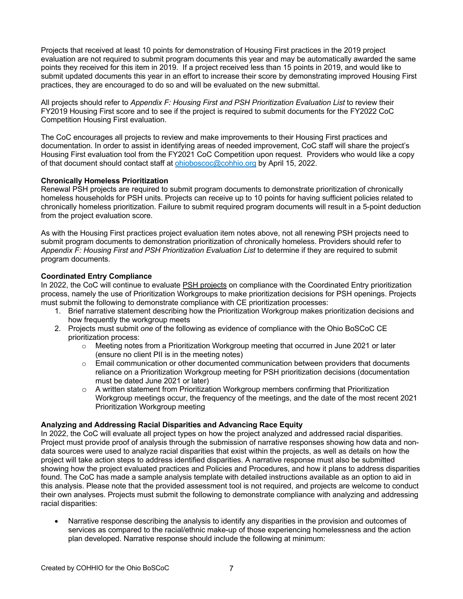Projects that received at least 10 points for demonstration of Housing First practices in the 2019 project evaluation are not required to submit program documents this year and may be automatically awarded the same points they received for this item in 2019. If a project received less than 15 points in 2019, and would like to submit updated documents this year in an effort to increase their score by demonstrating improved Housing First practices, they are encouraged to do so and will be evaluated on the new submittal.

All projects should refer to *Appendix F: Housing First and PSH Prioritization Evaluation List* to review their FY2019 Housing First score and to see if the project is required to submit documents for the FY2022 CoC Competition Housing First evaluation.

The CoC encourages all projects to review and make improvements to their Housing First practices and documentation. In order to assist in identifying areas of needed improvement, CoC staff will share the project's Housing First evaluation tool from the FY2021 CoC Competition upon request. Providers who would like a copy of that document should contact staff at ohioboscoc@cohhio.org by April 15, 2022.

#### **Chronically Homeless Prioritization**

Renewal PSH projects are required to submit program documents to demonstrate prioritization of chronically homeless households for PSH units. Projects can receive up to 10 points for having sufficient policies related to chronically homeless prioritization. Failure to submit required program documents will result in a 5-point deduction from the project evaluation score.

As with the Housing First practices project evaluation item notes above, not all renewing PSH projects need to submit program documents to demonstration prioritization of chronically homeless. Providers should refer to *Appendix F: Housing First and PSH Prioritization Evaluation List* to determine if they are required to submit program documents.

#### **Coordinated Entry Compliance**

In 2022, the CoC will continue to evaluate PSH projects on compliance with the Coordinated Entry prioritization process, namely the use of Prioritization Workgroups to make prioritization decisions for PSH openings. Projects must submit the following to demonstrate compliance with CE prioritization processes:

- 1. Brief narrative statement describing how the Prioritization Workgroup makes prioritization decisions and how frequently the workgroup meets
- 2. Projects must submit *one* of the following as evidence of compliance with the Ohio BoSCoC CE prioritization process:
	- $\circ$  Meeting notes from a Prioritization Workgroup meeting that occurred in June 2021 or later (ensure no client PII is in the meeting notes)
	- $\circ$  Email communication or other documented communication between providers that documents reliance on a Prioritization Workgroup meeting for PSH prioritization decisions (documentation must be dated June 2021 or later)
	- o A written statement from Prioritization Workgroup members confirming that Prioritization Workgroup meetings occur, the frequency of the meetings, and the date of the most recent 2021 Prioritization Workgroup meeting

#### **Analyzing and Addressing Racial Disparities and Advancing Race Equity**

In 2022, the CoC will evaluate all project types on how the project analyzed and addressed racial disparities. Project must provide proof of analysis through the submission of narrative responses showing how data and nondata sources were used to analyze racial disparities that exist within the projects, as well as details on how the project will take action steps to address identified disparities. A narrative response must also be submitted showing how the project evaluated practices and Policies and Procedures, and how it plans to address disparities found. The CoC has made a sample analysis template with detailed instructions available as an option to aid in this analysis. Please note that the provided assessment tool is not required, and projects are welcome to conduct their own analyses. Projects must submit the following to demonstrate compliance with analyzing and addressing racial disparities:

• Narrative response describing the analysis to identify any disparities in the provision and outcomes of services as compared to the racial/ethnic make-up of those experiencing homelessness and the action plan developed. Narrative response should include the following at minimum: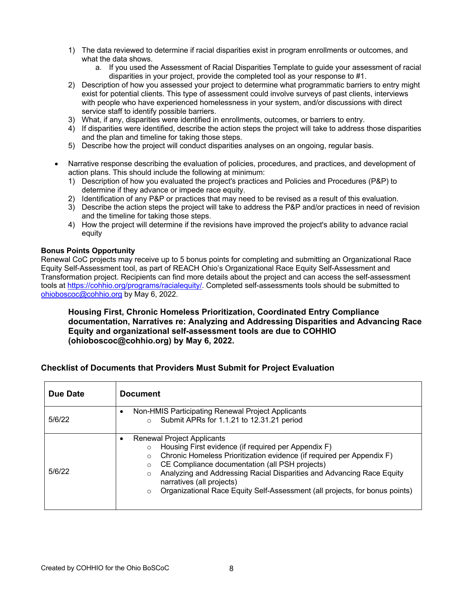- 1) The data reviewed to determine if racial disparities exist in program enrollments or outcomes, and what the data shows.
	- a. If you used the Assessment of Racial Disparities Template to guide your assessment of racial disparities in your project, provide the completed tool as your response to #1.
- 2) Description of how you assessed your project to determine what programmatic barriers to entry might exist for potential clients. This type of assessment could involve surveys of past clients, interviews with people who have experienced homelessness in your system, and/or discussions with direct service staff to identify possible barriers.
- 3) What, if any, disparities were identified in enrollments, outcomes, or barriers to entry.
- 4) If disparities were identified, describe the action steps the project will take to address those disparities and the plan and timeline for taking those steps.
- 5) Describe how the project will conduct disparities analyses on an ongoing, regular basis.
- Narrative response describing the evaluation of policies, procedures, and practices, and development of action plans. This should include the following at minimum:
	- 1) Description of how you evaluated the project's practices and Policies and Procedures (P&P) to determine if they advance or impede race equity.
	- 2) Identification of any P&P or practices that may need to be revised as a result of this evaluation.
	- 3) Describe the action steps the project will take to address the P&P and/or practices in need of revision and the timeline for taking those steps.
	- 4) How the project will determine if the revisions have improved the project's ability to advance racial equity

#### **Bonus Points Opportunity**

Renewal CoC projects may receive up to 5 bonus points for completing and submitting an Organizational Race Equity Self-Assessment tool, as part of REACH Ohio's Organizational Race Equity Self-Assessment and Transformation project. Recipients can find more details about the project and can access the self-assessment tools at https://cohhio.org/programs/racialequity/. Completed self-assessments tools should be submitted to ohioboscoc@cohhio.org by May 6, 2022.

#### **Housing First, Chronic Homeless Prioritization, Coordinated Entry Compliance documentation, Narratives re: Analyzing and Addressing Disparities and Advancing Race Equity and organizational self-assessment tools are due to COHHIO (ohioboscoc@cohhio.org) by May 6, 2022.**

#### **Checklist of Documents that Providers Must Submit for Project Evaluation**

| Due Date | <b>Document</b>                                                                                                                                                                                                                                                                                                                                                                                                                                           |
|----------|-----------------------------------------------------------------------------------------------------------------------------------------------------------------------------------------------------------------------------------------------------------------------------------------------------------------------------------------------------------------------------------------------------------------------------------------------------------|
| 5/6/22   | Non-HMIS Participating Renewal Project Applicants<br>$\bullet$<br>Submit APRs for 1.1.21 to 12.31.21 period                                                                                                                                                                                                                                                                                                                                               |
| 5/6/22   | <b>Renewal Project Applicants</b><br>٠<br>Housing First evidence (if required per Appendix F)<br>Chronic Homeless Prioritization evidence (if required per Appendix F)<br>$\circ$<br>CE Compliance documentation (all PSH projects)<br>$\circ$<br>Analyzing and Addressing Racial Disparities and Advancing Race Equity<br>$\circ$<br>narratives (all projects)<br>Organizational Race Equity Self-Assessment (all projects, for bonus points)<br>$\circ$ |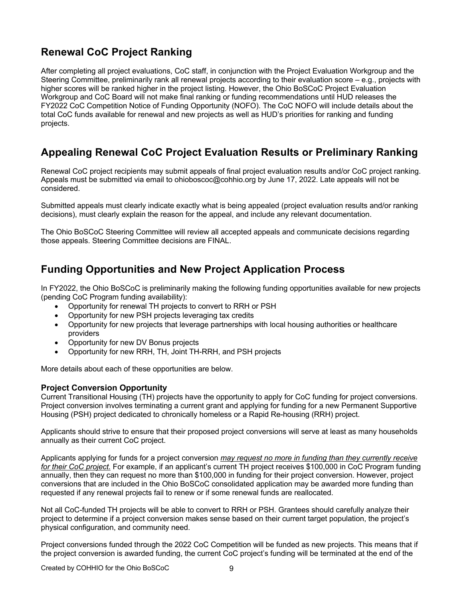# **Renewal CoC Project Ranking**

After completing all project evaluations, CoC staff, in conjunction with the Project Evaluation Workgroup and the Steering Committee, preliminarily rank all renewal projects according to their evaluation score – e.g., projects with higher scores will be ranked higher in the project listing. However, the Ohio BoSCoC Project Evaluation Workgroup and CoC Board will not make final ranking or funding recommendations until HUD releases the FY2022 CoC Competition Notice of Funding Opportunity (NOFO). The CoC NOFO will include details about the total CoC funds available for renewal and new projects as well as HUD's priorities for ranking and funding projects.

# **Appealing Renewal CoC Project Evaluation Results or Preliminary Ranking**

Renewal CoC project recipients may submit appeals of final project evaluation results and/or CoC project ranking. Appeals must be submitted via email to ohioboscoc@cohhio.org by June 17, 2022. Late appeals will not be considered.

Submitted appeals must clearly indicate exactly what is being appealed (project evaluation results and/or ranking decisions), must clearly explain the reason for the appeal, and include any relevant documentation.

The Ohio BoSCoC Steering Committee will review all accepted appeals and communicate decisions regarding those appeals. Steering Committee decisions are FINAL.

# **Funding Opportunities and New Project Application Process**

In FY2022, the Ohio BoSCoC is preliminarily making the following funding opportunities available for new projects (pending CoC Program funding availability):

- Opportunity for renewal TH projects to convert to RRH or PSH
- Opportunity for new PSH projects leveraging tax credits
- Opportunity for new projects that leverage partnerships with local housing authorities or healthcare providers
- Opportunity for new DV Bonus projects
- Opportunity for new RRH, TH, Joint TH-RRH, and PSH projects

More details about each of these opportunities are below.

#### **Project Conversion Opportunity**

Current Transitional Housing (TH) projects have the opportunity to apply for CoC funding for project conversions. Project conversion involves terminating a current grant and applying for funding for a new Permanent Supportive Housing (PSH) project dedicated to chronically homeless or a Rapid Re-housing (RRH) project.

Applicants should strive to ensure that their proposed project conversions will serve at least as many households annually as their current CoC project.

Applicants applying for funds for a project conversion *may request no more in funding than they currently receive for their CoC project.* For example, if an applicant's current TH project receives \$100,000 in CoC Program funding annually, then they can request no more than \$100,000 in funding for their project conversion. However, project conversions that are included in the Ohio BoSCoC consolidated application may be awarded more funding than requested if any renewal projects fail to renew or if some renewal funds are reallocated.

Not all CoC-funded TH projects will be able to convert to RRH or PSH. Grantees should carefully analyze their project to determine if a project conversion makes sense based on their current target population, the project's physical configuration, and community need.

Project conversions funded through the 2022 CoC Competition will be funded as new projects. This means that if the project conversion is awarded funding, the current CoC project's funding will be terminated at the end of the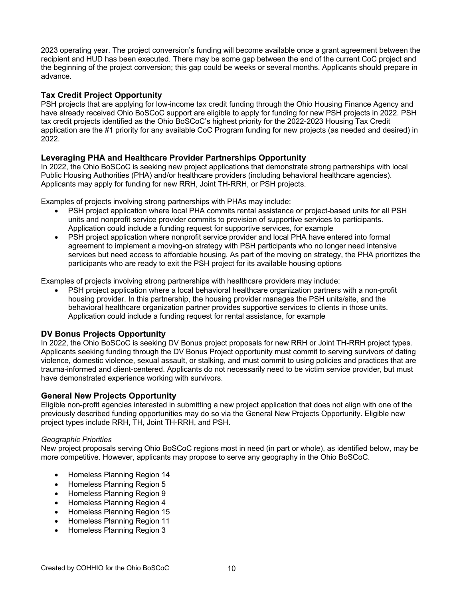2023 operating year. The project conversion's funding will become available once a grant agreement between the recipient and HUD has been executed. There may be some gap between the end of the current CoC project and the beginning of the project conversion; this gap could be weeks or several months. Applicants should prepare in advance.

#### **Tax Credit Project Opportunity**

PSH projects that are applying for low-income tax credit funding through the Ohio Housing Finance Agency and have already received Ohio BoSCoC support are eligible to apply for funding for new PSH projects in 2022. PSH tax credit projects identified as the Ohio BoSCoC's highest priority for the 2022-2023 Housing Tax Credit application are the #1 priority for any available CoC Program funding for new projects (as needed and desired) in 2022.

#### **Leveraging PHA and Healthcare Provider Partnerships Opportunity**

In 2022, the Ohio BoSCoC is seeking new project applications that demonstrate strong partnerships with local Public Housing Authorities (PHA) and/or healthcare providers (including behavioral healthcare agencies). Applicants may apply for funding for new RRH, Joint TH-RRH, or PSH projects.

Examples of projects involving strong partnerships with PHAs may include:

- PSH project application where local PHA commits rental assistance or project-based units for all PSH units and nonprofit service provider commits to provision of supportive services to participants. Application could include a funding request for supportive services, for example
- PSH project application where nonprofit service provider and local PHA have entered into formal agreement to implement a moving-on strategy with PSH participants who no longer need intensive services but need access to affordable housing. As part of the moving on strategy, the PHA prioritizes the participants who are ready to exit the PSH project for its available housing options

Examples of projects involving strong partnerships with healthcare providers may include:

• PSH project application where a local behavioral healthcare organization partners with a non-profit housing provider. In this partnership, the housing provider manages the PSH units/site, and the behavioral healthcare organization partner provides supportive services to clients in those units. Application could include a funding request for rental assistance, for example

#### **DV Bonus Projects Opportunity**

In 2022, the Ohio BoSCoC is seeking DV Bonus project proposals for new RRH or Joint TH-RRH project types. Applicants seeking funding through the DV Bonus Project opportunity must commit to serving survivors of dating violence, domestic violence, sexual assault, or stalking, and must commit to using policies and practices that are trauma-informed and client-centered. Applicants do not necessarily need to be victim service provider, but must have demonstrated experience working with survivors.

#### **General New Projects Opportunity**

Eligible non-profit agencies interested in submitting a new project application that does not align with one of the previously described funding opportunities may do so via the General New Projects Opportunity. Eligible new project types include RRH, TH, Joint TH-RRH, and PSH.

#### *Geographic Priorities*

New project proposals serving Ohio BoSCoC regions most in need (in part or whole), as identified below, may be more competitive. However, applicants may propose to serve any geography in the Ohio BoSCoC.

- Homeless Planning Region 14
- Homeless Planning Region 5
- Homeless Planning Region 9
- Homeless Planning Region 4
- Homeless Planning Region 15
- Homeless Planning Region 11
- Homeless Planning Region 3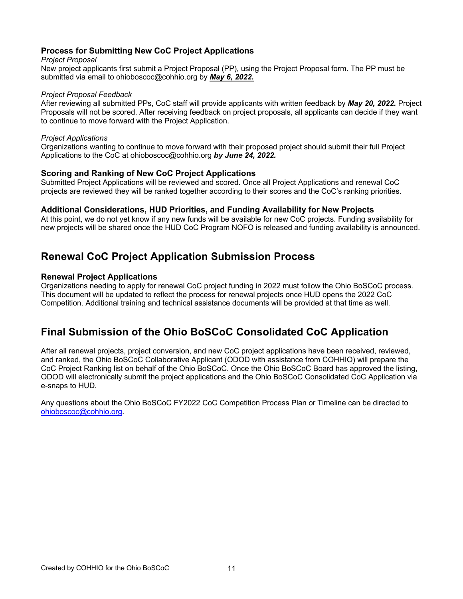#### **Process for Submitting New CoC Project Applications**

#### *Project Proposal*

New project applicants first submit a Project Proposal (PP), using the Project Proposal form. The PP must be submitted via email to ohioboscoc@cohhio.org by *May 6, 2022.*

#### *Project Proposal Feedback*

After reviewing all submitted PPs, CoC staff will provide applicants with written feedback by *May 20, 2022.* Project Proposals will not be scored. After receiving feedback on project proposals, all applicants can decide if they want to continue to move forward with the Project Application.

#### *Project Applications*

Organizations wanting to continue to move forward with their proposed project should submit their full Project Applications to the CoC at ohioboscoc@cohhio.org *by June 24, 2022.*

#### **Scoring and Ranking of New CoC Project Applications**

Submitted Project Applications will be reviewed and scored. Once all Project Applications and renewal CoC projects are reviewed they will be ranked together according to their scores and the CoC's ranking priorities.

#### **Additional Considerations, HUD Priorities, and Funding Availability for New Projects**

At this point, we do not yet know if any new funds will be available for new CoC projects. Funding availability for new projects will be shared once the HUD CoC Program NOFO is released and funding availability is announced.

## **Renewal CoC Project Application Submission Process**

#### **Renewal Project Applications**

Organizations needing to apply for renewal CoC project funding in 2022 must follow the Ohio BoSCoC process. This document will be updated to reflect the process for renewal projects once HUD opens the 2022 CoC Competition. Additional training and technical assistance documents will be provided at that time as well.

## **Final Submission of the Ohio BoSCoC Consolidated CoC Application**

After all renewal projects, project conversion, and new CoC project applications have been received, reviewed, and ranked, the Ohio BoSCoC Collaborative Applicant (ODOD with assistance from COHHIO) will prepare the CoC Project Ranking list on behalf of the Ohio BoSCoC. Once the Ohio BoSCoC Board has approved the listing, ODOD will electronically submit the project applications and the Ohio BoSCoC Consolidated CoC Application via e-snaps to HUD.

Any questions about the Ohio BoSCoC FY2022 CoC Competition Process Plan or Timeline can be directed to ohioboscoc@cohhio.org.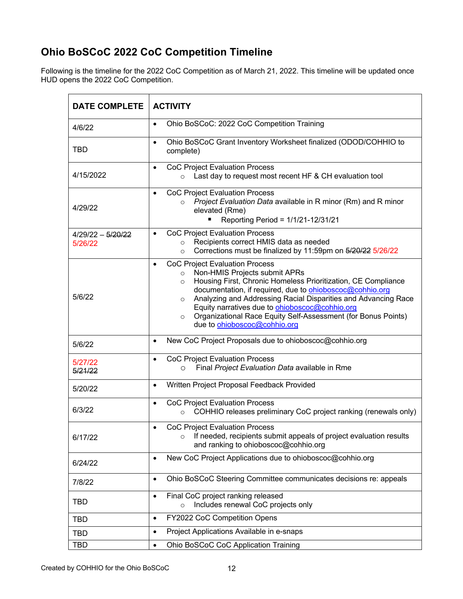# **Ohio BoSCoC 2022 CoC Competition Timeline**

Following is the timeline for the 2022 CoC Competition as of March 21, 2022. This timeline will be updated once HUD opens the 2022 CoC Competition.

| <b>DATE COMPLETE</b>           | <b>ACTIVITY</b>                                                                                                                                                                                                                                                                                                                                                                                                                                                                                 |
|--------------------------------|-------------------------------------------------------------------------------------------------------------------------------------------------------------------------------------------------------------------------------------------------------------------------------------------------------------------------------------------------------------------------------------------------------------------------------------------------------------------------------------------------|
| 4/6/22                         | Ohio BoSCoC: 2022 CoC Competition Training<br>$\bullet$                                                                                                                                                                                                                                                                                                                                                                                                                                         |
| TBD                            | Ohio BoSCoC Grant Inventory Worksheet finalized (ODOD/COHHIO to<br>$\bullet$<br>complete)                                                                                                                                                                                                                                                                                                                                                                                                       |
| 4/15/2022                      | <b>CoC Project Evaluation Process</b><br>$\bullet$<br>Last day to request most recent HF & CH evaluation tool<br>$\circ$                                                                                                                                                                                                                                                                                                                                                                        |
| 4/29/22                        | <b>CoC Project Evaluation Process</b><br>$\bullet$<br>Project Evaluation Data available in R minor (Rm) and R minor<br>$\circ$<br>elevated (Rme)<br>Reporting Period = 1/1/21-12/31/21                                                                                                                                                                                                                                                                                                          |
| $4/29/22 - 5/20/22$<br>5/26/22 | <b>CoC Project Evaluation Process</b><br>$\bullet$<br>Recipients correct HMIS data as needed<br>$\circ$<br>Corrections must be finalized by 11:59pm on 5/20/22 5/26/22<br>$\circ$                                                                                                                                                                                                                                                                                                               |
| 5/6/22                         | <b>CoC Project Evaluation Process</b><br>$\bullet$<br>Non-HMIS Projects submit APRs<br>$\circ$<br>Housing First, Chronic Homeless Prioritization, CE Compliance<br>$\circ$<br>documentation, if required, due to <b>ohioboscoc@cohhio.org</b><br>Analyzing and Addressing Racial Disparities and Advancing Race<br>$\circ$<br>Equity narratives due to <b>ohioboscoc@cohhio.org</b><br>Organizational Race Equity Self-Assessment (for Bonus Points)<br>$\circ$<br>due to ohioboscoc@cohhio.org |
| 5/6/22                         | New CoC Project Proposals due to ohioboscoc@cohhio.org<br>$\bullet$                                                                                                                                                                                                                                                                                                                                                                                                                             |
| 5/27/22<br>5/21/22             | <b>CoC Project Evaluation Process</b><br>$\bullet$<br>Final Project Evaluation Data available in Rme<br>O                                                                                                                                                                                                                                                                                                                                                                                       |
| 5/20/22                        | Written Project Proposal Feedback Provided<br>$\bullet$                                                                                                                                                                                                                                                                                                                                                                                                                                         |
| 6/3/22                         | <b>CoC Project Evaluation Process</b><br>$\bullet$<br>COHHIO releases preliminary CoC project ranking (renewals only)<br>$\circ$                                                                                                                                                                                                                                                                                                                                                                |
| 6/17/22                        | <b>CoC Project Evaluation Process</b><br>If needed, recipients submit appeals of project evaluation results<br>and ranking to ohioboscoc@cohhio.org                                                                                                                                                                                                                                                                                                                                             |
| 6/24/22                        | New CoC Project Applications due to ohioboscoc@cohhio.org<br>$\bullet$                                                                                                                                                                                                                                                                                                                                                                                                                          |
| 7/8/22                         | Ohio BoSCoC Steering Committee communicates decisions re: appeals<br>$\bullet$                                                                                                                                                                                                                                                                                                                                                                                                                  |
| <b>TBD</b>                     | Final CoC project ranking released<br>$\bullet$<br>Includes renewal CoC projects only<br>$\circ$                                                                                                                                                                                                                                                                                                                                                                                                |
| <b>TBD</b>                     | FY2022 CoC Competition Opens<br>$\bullet$                                                                                                                                                                                                                                                                                                                                                                                                                                                       |
| <b>TBD</b>                     | Project Applications Available in e-snaps<br>$\bullet$                                                                                                                                                                                                                                                                                                                                                                                                                                          |
| <b>TBD</b>                     | Ohio BoSCoC CoC Application Training<br>$\bullet$                                                                                                                                                                                                                                                                                                                                                                                                                                               |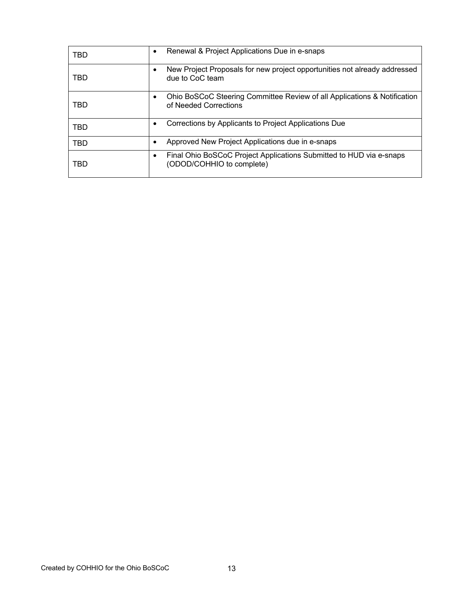| TBD | Renewal & Project Applications Due in e-snaps<br>٠                                                    |
|-----|-------------------------------------------------------------------------------------------------------|
| TBD | New Project Proposals for new project opportunities not already addressed<br>due to CoC team          |
| TBD | Ohio BoSCoC Steering Committee Review of all Applications & Notification<br>of Needed Corrections     |
| TBD | Corrections by Applicants to Project Applications Due<br>٠                                            |
| TBD | Approved New Project Applications due in e-snaps                                                      |
| TBD | Final Ohio BoSCoC Project Applications Submitted to HUD via e-snaps<br>٠<br>(ODOD/COHHIO to complete) |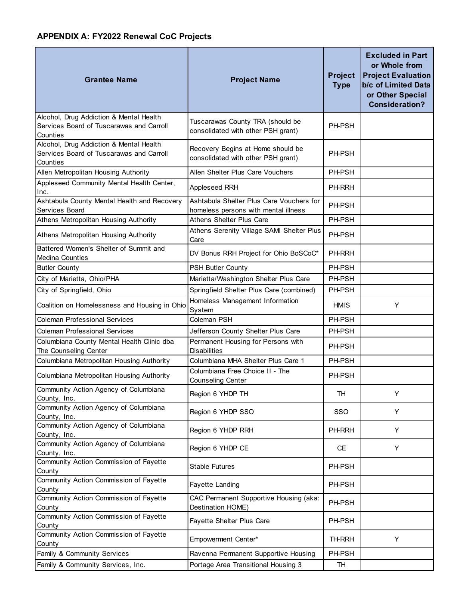# **APPENDIX A: FY2022 Renewal CoC Projects**

| <b>Grantee Name</b>                                                                             | <b>Project Name</b>                                                              | <b>Project</b><br><b>Type</b> | <b>Excluded in Part</b><br>or Whole from<br><b>Project Evaluation</b><br>b/c of Limited Data<br>or Other Special<br><b>Consideration?</b> |
|-------------------------------------------------------------------------------------------------|----------------------------------------------------------------------------------|-------------------------------|-------------------------------------------------------------------------------------------------------------------------------------------|
| Alcohol, Drug Addiction & Mental Health<br>Services Board of Tuscarawas and Carroll<br>Counties | Tuscarawas County TRA (should be<br>consolidated with other PSH grant)           | PH-PSH                        |                                                                                                                                           |
| Alcohol, Drug Addiction & Mental Health<br>Services Board of Tuscarawas and Carroll<br>Counties | Recovery Begins at Home should be<br>consolidated with other PSH grant)          | PH-PSH                        |                                                                                                                                           |
| Allen Metropolitan Housing Authority                                                            | Allen Shelter Plus Care Vouchers                                                 | PH-PSH                        |                                                                                                                                           |
| Appleseed Community Mental Health Center,<br>Inc.                                               | Appleseed RRH                                                                    | <b>PH-RRH</b>                 |                                                                                                                                           |
| Ashtabula County Mental Health and Recovery<br>Services Board                                   | Ashtabula Shelter Plus Care Vouchers for<br>homeless persons with mental illness | PH-PSH                        |                                                                                                                                           |
| Athens Metropolitan Housing Authority                                                           | <b>Athens Shelter Plus Care</b>                                                  | PH-PSH                        |                                                                                                                                           |
| Athens Metropolitan Housing Authority                                                           | Athens Serenity Village SAMI Shelter Plus<br>Care                                | PH-PSH                        |                                                                                                                                           |
| Battered Women's Shelter of Summit and<br>Medina Counties                                       | DV Bonus RRH Project for Ohio BoSCoC*                                            | PH-RRH                        |                                                                                                                                           |
| <b>Butler County</b>                                                                            | PSH Butler County                                                                | PH-PSH                        |                                                                                                                                           |
| City of Marietta, Ohio/PHA                                                                      | Marietta/Washington Shelter Plus Care                                            | PH-PSH                        |                                                                                                                                           |
| City of Springfield, Ohio                                                                       | Springfield Shelter Plus Care (combined)                                         | PH-PSH                        |                                                                                                                                           |
| Coalition on Homelessness and Housing in Ohio                                                   | Homeless Management Information<br>System                                        | HMIS                          | Y                                                                                                                                         |
| <b>Coleman Professional Services</b>                                                            | Coleman PSH                                                                      | PH-PSH                        |                                                                                                                                           |
| <b>Coleman Professional Services</b>                                                            | Jefferson County Shelter Plus Care                                               | PH-PSH                        |                                                                                                                                           |
| Columbiana County Mental Health Clinic dba<br>The Counseling Center                             | Permanent Housing for Persons with<br><b>Disabilities</b>                        | PH-PSH                        |                                                                                                                                           |
| Columbiana Metropolitan Housing Authority                                                       | Columbiana MHA Shelter Plus Care 1                                               | PH-PSH                        |                                                                                                                                           |
| Columbiana Metropolitan Housing Authority                                                       | Columbiana Free Choice II - The<br>Counseling Center                             | PH-PSH                        |                                                                                                                                           |
| Community Action Agency of Columbiana<br>County, Inc.                                           | Region 6 YHDP TH                                                                 | TH                            | Y                                                                                                                                         |
| Community Action Agency of Columbiana<br>County, Inc.                                           | Region 6 YHDP SSO                                                                | SSO                           | Y                                                                                                                                         |
| Community Action Agency of Columbiana<br>County, Inc.                                           | Region 6 YHDP RRH                                                                | PH-RRH                        | Y                                                                                                                                         |
| Community Action Agency of Columbiana<br>County, Inc.                                           | Region 6 YHDP CE                                                                 | <b>CE</b>                     | Y                                                                                                                                         |
| Community Action Commission of Fayette<br>County                                                | <b>Stable Futures</b>                                                            | PH-PSH                        |                                                                                                                                           |
| Community Action Commission of Fayette<br>County                                                | Fayette Landing                                                                  | PH-PSH                        |                                                                                                                                           |
| Community Action Commission of Fayette<br>County                                                | CAC Permanent Supportive Housing (aka:<br>Destination HOME)                      | PH-PSH                        |                                                                                                                                           |
| Community Action Commission of Fayette<br>County                                                | Fayette Shelter Plus Care                                                        | PH-PSH                        |                                                                                                                                           |
| Community Action Commission of Fayette<br>County                                                | Empowerment Center*                                                              | TH-RRH                        | Y                                                                                                                                         |
| Family & Community Services                                                                     | Ravenna Permanent Supportive Housing                                             | PH-PSH                        |                                                                                                                                           |
| Family & Community Services, Inc.                                                               | Portage Area Transitional Housing 3                                              | TH                            |                                                                                                                                           |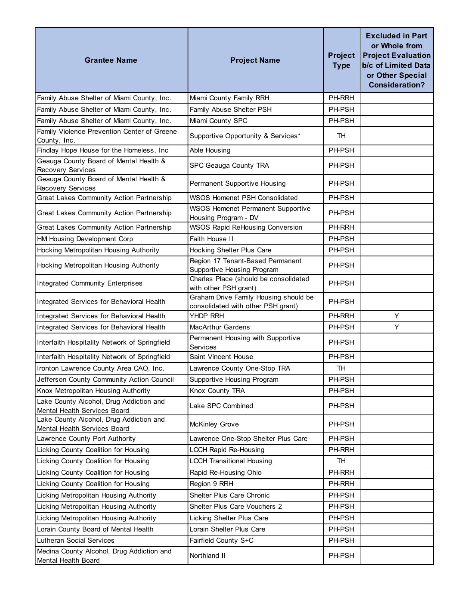| <b>Grantee Name</b>                                                     | <b>Project Name</b>                                                         | <b>Project</b><br><b>Type</b> | <b>Excluded in Part</b><br>or Whole from<br><b>Project Evaluation</b><br>b/c of Limited Data<br>or Other Special<br><b>Consideration?</b> |
|-------------------------------------------------------------------------|-----------------------------------------------------------------------------|-------------------------------|-------------------------------------------------------------------------------------------------------------------------------------------|
| Family Abuse Shelter of Miami County, Inc.                              | Miami County Family RRH                                                     | PH-RRH                        |                                                                                                                                           |
| Family Abuse Shelter of Miami County, Inc.                              | Family Abuse Shelter PSH                                                    | PH-PSH                        |                                                                                                                                           |
| Family Abuse Shelter of Miami County, Inc.                              | Miami County SPC                                                            | PH-PSH                        |                                                                                                                                           |
| Family Violence Prevention Center of Greene<br>County, Inc.             | Supportive Opportunity & Services*                                          | <b>TH</b>                     |                                                                                                                                           |
| Findlay Hope House for the Homeless, Inc                                | Able Housing                                                                | PH-PSH                        |                                                                                                                                           |
| Geauga County Board of Mental Health &<br>Recovery Services             | SPC Geauga County TRA                                                       | PH-PSH                        |                                                                                                                                           |
| Geauga County Board of Mental Health &<br><b>Recovery Services</b>      | Permanent Supportive Housing                                                | PH-PSH                        |                                                                                                                                           |
| Great Lakes Community Action Partnership                                | <b>WSOS Homenet PSH Consolidated</b>                                        | PH-PSH                        |                                                                                                                                           |
| Great Lakes Community Action Partnership                                | <b>WSOS Homenet Permanent Supportive</b><br>Housing Program - DV            | PH-PSH                        |                                                                                                                                           |
| Great Lakes Community Action Partnership                                | <b>WSOS Rapid ReHousing Conversion</b>                                      | PH-RRH                        |                                                                                                                                           |
| HM Housing Development Corp                                             | Faith House II                                                              | PH-PSH                        |                                                                                                                                           |
| Hocking Metropolitan Housing Authority                                  | Hocking Shelter Plus Care                                                   | PH-PSH                        |                                                                                                                                           |
| Hocking Metropolitan Housing Authority                                  | Region 17 Tenant-Based Permanent<br>Supportive Housing Program              | PH-PSH                        |                                                                                                                                           |
| <b>Integrated Community Enterprises</b>                                 | Charles Place (should be consolidated<br>with other PSH grant)              | PH-PSH                        |                                                                                                                                           |
| Integrated Services for Behavioral Health                               | Graham Drive Family Housing should be<br>consolidated with other PSH grant) | PH-PSH                        |                                                                                                                                           |
| Integrated Services for Behavioral Health                               | YHDP RRH                                                                    | PH-RRH                        | Y                                                                                                                                         |
| Integrated Services for Behavioral Health                               | <b>MacArthur Gardens</b>                                                    | PH-PSH                        | Y                                                                                                                                         |
| Interfaith Hospitality Network of Springfield                           | Permanent Housing with Supportive<br>Services                               | PH-PSH                        |                                                                                                                                           |
| Interfaith Hospitality Network of Springfield                           | Saint Vincent House                                                         | PH-PSH                        |                                                                                                                                           |
| Ironton Lawrence County Area CAO, Inc.                                  | Lawrence County One-Stop TRA                                                | TH                            |                                                                                                                                           |
| Jefferson County Community Action Council                               | Supportive Housing Program                                                  | PH-PSH                        |                                                                                                                                           |
| Knox Metropolitan Housing Authority                                     | Knox County TRA                                                             | PH-PSH                        |                                                                                                                                           |
| Lake County Alcohol, Drug Addiction and<br>Mental Health Services Board | Lake SPC Combined                                                           | PH-PSH                        |                                                                                                                                           |
| Lake County Alcohol, Drug Addiction and<br>Mental Health Services Board | <b>McKinley Grove</b>                                                       | PH-PSH                        |                                                                                                                                           |
| Lawrence County Port Authority                                          | Lawrence One-Stop Shelter Plus Care                                         | PH-PSH                        |                                                                                                                                           |
| Licking County Coalition for Housing                                    | <b>LCCH Rapid Re-Housing</b>                                                | PH-RRH                        |                                                                                                                                           |
| Licking County Coalition for Housing                                    | <b>LCCH Transitional Housing</b>                                            | <b>TH</b>                     |                                                                                                                                           |
| Licking County Coalition for Housing                                    | Rapid Re-Housing Ohio                                                       | PH-RRH                        |                                                                                                                                           |
| Licking County Coalition for Housing                                    | Region 9 RRH                                                                | PH-RRH                        |                                                                                                                                           |
| Licking Metropolitan Housing Authority                                  | Shelter Plus Care Chronic                                                   | PH-PSH                        |                                                                                                                                           |
| Licking Metropolitan Housing Authority                                  | Shelter Plus Care Vouchers 2                                                | PH-PSH                        |                                                                                                                                           |
| Licking Metropolitan Housing Authority                                  | Licking Shelter Plus Care                                                   | PH-PSH                        |                                                                                                                                           |
| Lorain County Board of Mental Health                                    | Lorain Shelter Plus Care                                                    | PH-PSH                        |                                                                                                                                           |
| <b>Lutheran Social Services</b>                                         | Fairfield County S+C                                                        | PH-PSH                        |                                                                                                                                           |
| Medina County Alcohol, Drug Addiction and<br>Mental Health Board        | Northland II                                                                | PH-PSH                        |                                                                                                                                           |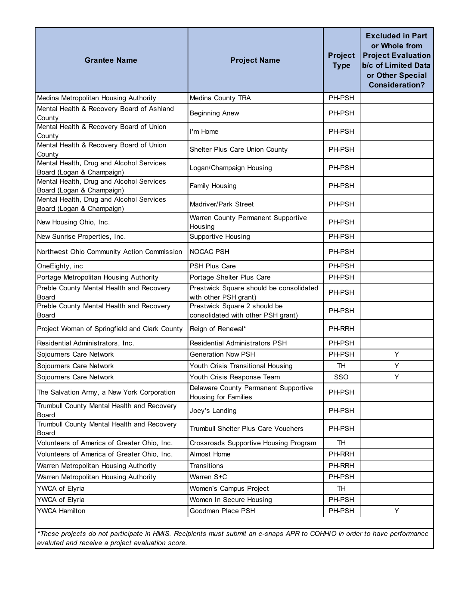| <b>Grantee Name</b>                                                   | <b>Project Name</b>                                                | <b>Project</b><br><b>Type</b> | <b>Excluded in Part</b><br>or Whole from<br><b>Project Evaluation</b><br>b/c of Limited Data<br>or Other Special<br><b>Consideration?</b> |
|-----------------------------------------------------------------------|--------------------------------------------------------------------|-------------------------------|-------------------------------------------------------------------------------------------------------------------------------------------|
| Medina Metropolitan Housing Authority                                 | Medina County TRA                                                  | PH-PSH                        |                                                                                                                                           |
| Mental Health & Recovery Board of Ashland<br>County                   | <b>Beginning Anew</b>                                              | PH-PSH                        |                                                                                                                                           |
| Mental Health & Recovery Board of Union<br>County                     | I'm Home                                                           | PH-PSH                        |                                                                                                                                           |
| Mental Health & Recovery Board of Union<br>County                     | Shelter Plus Care Union County                                     | PH-PSH                        |                                                                                                                                           |
| Mental Health, Drug and Alcohol Services<br>Board (Logan & Champaign) | Logan/Champaign Housing                                            | PH-PSH                        |                                                                                                                                           |
| Mental Health, Drug and Alcohol Services<br>Board (Logan & Champaign) | Family Housing                                                     | PH-PSH                        |                                                                                                                                           |
| Mental Health, Drug and Alcohol Services<br>Board (Logan & Champaign) | Madriver/Park Street                                               | PH-PSH                        |                                                                                                                                           |
| New Housing Ohio, Inc.                                                | Warren County Permanent Supportive<br>Housing                      | PH-PSH                        |                                                                                                                                           |
| New Sunrise Properties, Inc.                                          | Supportive Housing                                                 | PH-PSH                        |                                                                                                                                           |
| Northwest Ohio Community Action Commission                            | NOCAC PSH                                                          | PH-PSH                        |                                                                                                                                           |
| OneEighty, inc                                                        | <b>PSH Plus Care</b>                                               | PH-PSH                        |                                                                                                                                           |
| Portage Metropolitan Housing Authority                                | Portage Shelter Plus Care                                          | PH-PSH                        |                                                                                                                                           |
| Preble County Mental Health and Recovery<br><b>Board</b>              | Prestwick Square should be consolidated<br>with other PSH grant)   | PH-PSH                        |                                                                                                                                           |
| Preble County Mental Health and Recovery<br>Board                     | Prestwick Square 2 should be<br>consolidated with other PSH grant) | PH-PSH                        |                                                                                                                                           |
| Project Woman of Springfield and Clark County                         | Reign of Renewal*                                                  | PH-RRH                        |                                                                                                                                           |
| Residential Administrators, Inc.                                      | Residential Administrators PSH                                     | PH-PSH                        |                                                                                                                                           |
| Sojourners Care Network                                               | <b>Generation Now PSH</b>                                          | PH-PSH                        | Υ                                                                                                                                         |
| Sojourners Care Network                                               | Youth Crisis Transitional Housing                                  | TH                            | Y                                                                                                                                         |
| Sojourners Care Network                                               | Youth Crisis Response Team                                         | SSO                           | Y                                                                                                                                         |
| The Salvation Army, a New York Corporation                            | Delaware County Permanent Supportive<br>Housing for Families       | PH-PSH                        |                                                                                                                                           |
| Trumbull County Mental Health and Recovery<br>Board                   | Joey's Landing                                                     | PH-PSH                        |                                                                                                                                           |
| Trumbull County Mental Health and Recovery<br>Board                   | Trumbull Shelter Plus Care Vouchers                                | PH-PSH                        |                                                                                                                                           |
| Volunteers of America of Greater Ohio, Inc.                           | Crossroads Supportive Housing Program                              | <b>TH</b>                     |                                                                                                                                           |
| Volunteers of America of Greater Ohio, Inc.                           | Almost Home                                                        | PH-RRH                        |                                                                                                                                           |
| Warren Metropolitan Housing Authority                                 | Transitions                                                        | PH-RRH                        |                                                                                                                                           |
| Warren Metropolitan Housing Authority                                 | Warren S+C                                                         | PH-PSH                        |                                                                                                                                           |
| YWCA of Elyria                                                        | Women's Campus Project                                             | <b>TH</b>                     |                                                                                                                                           |
| YWCA of Elyria                                                        | Women In Secure Housing                                            | PH-PSH                        |                                                                                                                                           |
| <b>YWCA Hamilton</b>                                                  | Goodman Place PSH                                                  | PH-PSH                        | Υ                                                                                                                                         |

*\*These projects do not participate in HMIS. Recipients must submit an e-snaps APR to COHHIO in order to have performance evaluted and receive a project evaluation score.*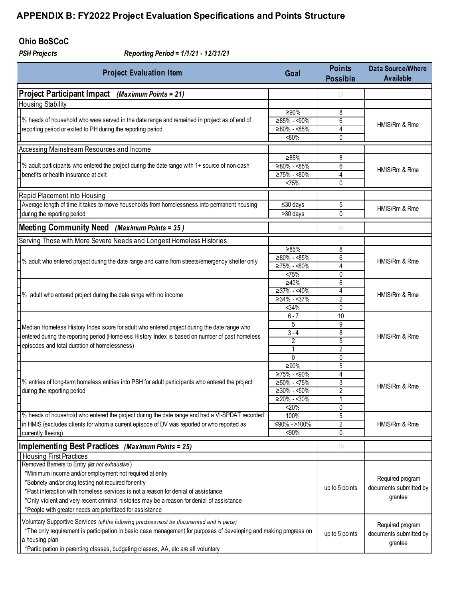### **Ohio BoSCoC**

*PSH Projects Reporting Period = 1/1/21 - 12/31/21*

| <b>Project Evaluation Item</b><br>Goal                                                                            |                           | <b>Points</b><br><b>Possible</b> | <b>Data Source/Where</b><br><b>Available</b> |
|-------------------------------------------------------------------------------------------------------------------|---------------------------|----------------------------------|----------------------------------------------|
| Project Participant Impact (Maximum Points = 21)                                                                  |                           | 21                               |                                              |
| <b>Housing Stability</b>                                                                                          |                           |                                  |                                              |
|                                                                                                                   | ≥90%                      | 8                                |                                              |
| % heads of household who were served in the date range and remained in project as of end of                       | ≥85% - <90%               | 6                                |                                              |
| reporting period or exited to PH during the reporting period<br>$≥80% - <85%$                                     |                           | 4                                | HMIS/Rm & Rme                                |
|                                                                                                                   | $< 80\%$                  | 0                                |                                              |
| Accessing Mainstream Resources and Income                                                                         |                           |                                  |                                              |
|                                                                                                                   | ≥85%                      | 8                                |                                              |
| % adult participants who entered the project during the date range with 1+ source of non-cash                     | ≥80% - <85%               | 6                                | HMIS/Rm & Rme                                |
| benefits or health insurance at exit                                                                              | $≥75% - <80%$             | 4                                |                                              |
|                                                                                                                   | <75%                      | 0                                |                                              |
| Rapid Placement into Housing                                                                                      |                           |                                  |                                              |
| Average length of time it takes to move households from homelessness into permanent housing                       | $\leq$ 30 days            | 5                                | HMIS/Rm & Rme                                |
| during the reporting period                                                                                       | >30 days                  | 0                                |                                              |
| <b>Meeting Community Need</b><br>(Maximum Points = 35)                                                            |                           | 34                               |                                              |
| Serving Those with More Severe Needs and Longest Homeless Histories                                               |                           |                                  |                                              |
|                                                                                                                   | ≥85%                      | 8                                |                                              |
| % adult who entered project during the date range and came from streets/emergency shelter only                    | $≥80% - <85%$             | 6                                | HMIS/Rm & Rme                                |
|                                                                                                                   | $\overline{≥75\%}$ - <80% | 4                                |                                              |
|                                                                                                                   | <75%                      | 0                                |                                              |
|                                                                                                                   | $\geq 40\%$               | 6                                |                                              |
| % adult who entered project during the date range with no income                                                  | $\geq 37\% - 40\%$        | 4                                | HMIS/Rm & Rme                                |
|                                                                                                                   | $\geq 34\% - 37\%$        | $\overline{2}$                   |                                              |
|                                                                                                                   | 34%                       | 0                                |                                              |
|                                                                                                                   | $6 - 7$                   | 10                               |                                              |
| Median Homeless History Index score for adult who entered project during the date range who                       | 5<br>$3 - 4$              | 9<br>8                           |                                              |
| entered during the reporting period (Homeless History Index is based on number of past homeless                   | 2                         | 5                                | HMIS/Rm & Rme                                |
| episodes and total duration of homelessness)                                                                      | 1                         | 2                                |                                              |
|                                                                                                                   | 0                         | 0                                |                                              |
|                                                                                                                   | ≥90%                      | 5                                |                                              |
|                                                                                                                   | $≥75% - <90%$             | 4                                |                                              |
| % entries of long-term homeless entries into PSH for adult participants who entered the project                   | $≥50% - <75%$             | 3                                |                                              |
| during the reporting period                                                                                       | $≥30% - <50%$             | 2                                | HMIS/Rm & Rme                                |
|                                                                                                                   | $≥20% - <30%$             | 1                                |                                              |
|                                                                                                                   | 20%                       | 0                                |                                              |
| % heads of household who entered the project during the date range and had a VI-SPDAT recorded                    | 100%                      | 5                                |                                              |
| in HMIS (excludes clients for whom a current episode of DV was reported or who reported as                        | ≤90% ->100%               | 2                                | HMIS/Rm & Rme                                |
| currently fleeing)                                                                                                | <90%                      | 0                                |                                              |
| Implementing Best Practices (Maximum Points = 25)                                                                 |                           | 15                               |                                              |
| <b>Housing First Practices</b>                                                                                    |                           |                                  |                                              |
| Removed Bamers to Entry (list not exhaustive)                                                                     |                           |                                  |                                              |
| *Minimum income and/or employment not required at entry                                                           |                           |                                  | Required program                             |
| *Sobriety and/or drug testing not required for entry                                                              |                           | up to 5 points                   | documents submitted by                       |
| *Past interaction with homeless services is not a reason for denial of assistance                                 |                           |                                  | grantee                                      |
| *Only violent and very recent criminal histories may be a reason for denial of assistance                         |                           |                                  |                                              |
| *People with greater needs are prioritized for assistance                                                         |                           |                                  |                                              |
| Voluntary Supportive Services (all the following practices must be documented and in place)                       |                           |                                  | Required program                             |
| *The only requirement is participation in basic case management for purposes of developing and making progress on |                           | up to 5 points                   | documents submitted by                       |
| a housing plan                                                                                                    |                           | grantee                          |                                              |
| *Participation in parenting classes, budgeting classes, AA, etc are all voluntary                                 |                           |                                  |                                              |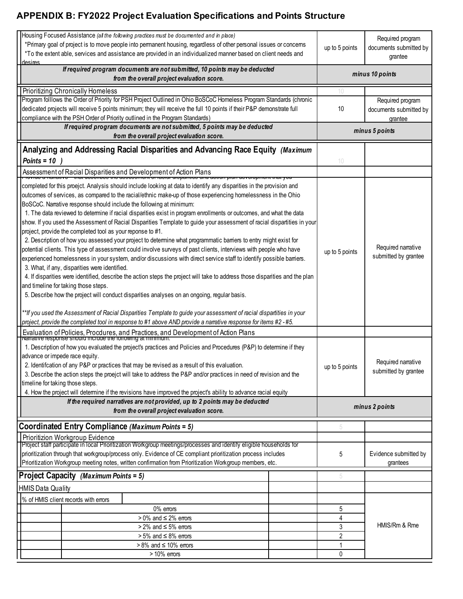| desires                                                                                                                                                                                                                                                                                                                                         | Housing Focused Assistance (all the following practices must be documented and in place)<br>*Primary goal of project is to move people into permanent housing, regardless of other personal issues or concems<br>*To the extent able, services and assistance are provided in an individualized manner based on client needs and                                                                                                                                                                                                                                                                                                                                                                                                                                                                                                                                                                                                                                                                                                                                                                                                                                                                                                                                                                                                                                                                                                                                                                                                                                                                                                                                                                                                                                                                                                                                                                                                                                                                |                | up to 5 points                    | Required program<br>documents submitted by<br>grantee                                    |
|-------------------------------------------------------------------------------------------------------------------------------------------------------------------------------------------------------------------------------------------------------------------------------------------------------------------------------------------------|-------------------------------------------------------------------------------------------------------------------------------------------------------------------------------------------------------------------------------------------------------------------------------------------------------------------------------------------------------------------------------------------------------------------------------------------------------------------------------------------------------------------------------------------------------------------------------------------------------------------------------------------------------------------------------------------------------------------------------------------------------------------------------------------------------------------------------------------------------------------------------------------------------------------------------------------------------------------------------------------------------------------------------------------------------------------------------------------------------------------------------------------------------------------------------------------------------------------------------------------------------------------------------------------------------------------------------------------------------------------------------------------------------------------------------------------------------------------------------------------------------------------------------------------------------------------------------------------------------------------------------------------------------------------------------------------------------------------------------------------------------------------------------------------------------------------------------------------------------------------------------------------------------------------------------------------------------------------------------------------------|----------------|-----------------------------------|------------------------------------------------------------------------------------------|
|                                                                                                                                                                                                                                                                                                                                                 | If required program documents are not submitted, 10 points may be deducted<br>from the overall project evaluation score.                                                                                                                                                                                                                                                                                                                                                                                                                                                                                                                                                                                                                                                                                                                                                                                                                                                                                                                                                                                                                                                                                                                                                                                                                                                                                                                                                                                                                                                                                                                                                                                                                                                                                                                                                                                                                                                                        |                |                                   | minus 10 points                                                                          |
|                                                                                                                                                                                                                                                                                                                                                 | <b>Prioritizing Chronically Homeless</b>                                                                                                                                                                                                                                                                                                                                                                                                                                                                                                                                                                                                                                                                                                                                                                                                                                                                                                                                                                                                                                                                                                                                                                                                                                                                                                                                                                                                                                                                                                                                                                                                                                                                                                                                                                                                                                                                                                                                                        |                | 10                                |                                                                                          |
|                                                                                                                                                                                                                                                                                                                                                 | Program folllows the Order of Priority for PSH Project Outlined in Ohio BoSCoC Homeless Program Standards (chronic<br>dedicated projects will receive 5 points minimum; they will receive the full 10 points if their P&P demonstrate full<br>compliance with the PSH Order of Priority outlined in the Program Standards)                                                                                                                                                                                                                                                                                                                                                                                                                                                                                                                                                                                                                                                                                                                                                                                                                                                                                                                                                                                                                                                                                                                                                                                                                                                                                                                                                                                                                                                                                                                                                                                                                                                                      |                | 10                                | Required program<br>documents submitted by<br>grantee                                    |
|                                                                                                                                                                                                                                                                                                                                                 | If required program documents are not submitted, 5 points may be deducted<br>from the overall project evaluation score.                                                                                                                                                                                                                                                                                                                                                                                                                                                                                                                                                                                                                                                                                                                                                                                                                                                                                                                                                                                                                                                                                                                                                                                                                                                                                                                                                                                                                                                                                                                                                                                                                                                                                                                                                                                                                                                                         |                |                                   | minus 5 points                                                                           |
| Points = $10$                                                                                                                                                                                                                                                                                                                                   | Analyzing and Addressing Racial Disparities and Advancing Race Equity (Maximum                                                                                                                                                                                                                                                                                                                                                                                                                                                                                                                                                                                                                                                                                                                                                                                                                                                                                                                                                                                                                                                                                                                                                                                                                                                                                                                                                                                                                                                                                                                                                                                                                                                                                                                                                                                                                                                                                                                  |                | 10                                |                                                                                          |
|                                                                                                                                                                                                                                                                                                                                                 | Assessment of Racial Disparities and Development of Action Plans<br><del>• rovide a nailutive – that decembes the assessment or lacial dispairtee and action plan acvelopmen</del>                                                                                                                                                                                                                                                                                                                                                                                                                                                                                                                                                                                                                                                                                                                                                                                                                                                                                                                                                                                                                                                                                                                                                                                                                                                                                                                                                                                                                                                                                                                                                                                                                                                                                                                                                                                                              |                |                                   |                                                                                          |
| advance or impede race equity.                                                                                                                                                                                                                                                                                                                  | completed for this proejct. Analysis should include looking at data to identify any disparities in the provision and<br>outcomes of services, as compared to the racial/ethnic make-up of those experiencing homelessness in the Ohio<br>BoSCoC. Narrative response should include the following at minimum:<br>1. The data reviewed to determine if racial disparities exist in program enrollments or outcomes, and what the data<br>show. If you used the Assessment of Racial Disparities Template to guide your assessment of racial dispartities in your<br>project, provide the completed tool as your reponse to #1.<br>2. Description of how you assessed your project to determine what programmatic barriers to entry might exist for<br>potential clients. This type of assessment could involve surveys of past clients, interviews with people who have<br>experienced homelessness in your system, and/or discussions with direct service staff to identify possible barriers.<br>3. What, if any, disparities were identified.<br>4. If disparities were identified, describe the action steps the project will take to address those disparities and the plan<br>and timeline for taking those steps.<br>5. Describe how the project will conduct disparities analyses on an ongoing, regular basis.<br>**If you used the Assessment of Racial Disparities Template to guide your assessment of racial dispartities in your<br>project, provide the completed tool in response to #1 above AND provide a narrative response for items #2 -#5.<br>Evaluation of Policies, Procdures, and Practices, and Development of Action Plans<br>1. Description of how you evaluated the project's practices and Policies and Procedures (P&P) to determine if they<br>2. Identifcation of any P&P or practices that may be revised as a result of this evaluation.<br>3. Describe the action steps the proejct will take to address the P&P and/or practices in need of revision and the |                | up to 5 points<br>up to 5 points  | Required narrative<br>submitted by grantee<br>Required narrative<br>submitted by grantee |
| timeline for taking those steps.<br>4. How the project will determine if the revisions have improved the project's ability to advance racial equity                                                                                                                                                                                             |                                                                                                                                                                                                                                                                                                                                                                                                                                                                                                                                                                                                                                                                                                                                                                                                                                                                                                                                                                                                                                                                                                                                                                                                                                                                                                                                                                                                                                                                                                                                                                                                                                                                                                                                                                                                                                                                                                                                                                                                 |                |                                   |                                                                                          |
| If the required narratives are not provided, up to 2 points may be deducted                                                                                                                                                                                                                                                                     |                                                                                                                                                                                                                                                                                                                                                                                                                                                                                                                                                                                                                                                                                                                                                                                                                                                                                                                                                                                                                                                                                                                                                                                                                                                                                                                                                                                                                                                                                                                                                                                                                                                                                                                                                                                                                                                                                                                                                                                                 |                |                                   |                                                                                          |
| from the overall project evaluation score.                                                                                                                                                                                                                                                                                                      |                                                                                                                                                                                                                                                                                                                                                                                                                                                                                                                                                                                                                                                                                                                                                                                                                                                                                                                                                                                                                                                                                                                                                                                                                                                                                                                                                                                                                                                                                                                                                                                                                                                                                                                                                                                                                                                                                                                                                                                                 | minus 2 points |                                   |                                                                                          |
|                                                                                                                                                                                                                                                                                                                                                 | Coordinated Entry Compliance (Maximum Points = 5)                                                                                                                                                                                                                                                                                                                                                                                                                                                                                                                                                                                                                                                                                                                                                                                                                                                                                                                                                                                                                                                                                                                                                                                                                                                                                                                                                                                                                                                                                                                                                                                                                                                                                                                                                                                                                                                                                                                                               |                | 5                                 |                                                                                          |
|                                                                                                                                                                                                                                                                                                                                                 | Prioritizion Workgroup Evidence                                                                                                                                                                                                                                                                                                                                                                                                                                                                                                                                                                                                                                                                                                                                                                                                                                                                                                                                                                                                                                                                                                                                                                                                                                                                                                                                                                                                                                                                                                                                                                                                                                                                                                                                                                                                                                                                                                                                                                 |                |                                   |                                                                                          |
| Project staff participate in local Prioritization Workgroup meetings/processes and identify eligible households for<br>prioritization through that workgroup/process only. Evidence of CE compliant prioritization process includes<br>Prioritization Workgroup meeting notes, written confirmation from Prioritization Workgroup members, etc. |                                                                                                                                                                                                                                                                                                                                                                                                                                                                                                                                                                                                                                                                                                                                                                                                                                                                                                                                                                                                                                                                                                                                                                                                                                                                                                                                                                                                                                                                                                                                                                                                                                                                                                                                                                                                                                                                                                                                                                                                 | 5              | Evidence submitted by<br>grantees |                                                                                          |
|                                                                                                                                                                                                                                                                                                                                                 | Project Capacity (Maximum Points = 5)                                                                                                                                                                                                                                                                                                                                                                                                                                                                                                                                                                                                                                                                                                                                                                                                                                                                                                                                                                                                                                                                                                                                                                                                                                                                                                                                                                                                                                                                                                                                                                                                                                                                                                                                                                                                                                                                                                                                                           |                | 5                                 |                                                                                          |
| <b>HMIS Data Quality</b>                                                                                                                                                                                                                                                                                                                        |                                                                                                                                                                                                                                                                                                                                                                                                                                                                                                                                                                                                                                                                                                                                                                                                                                                                                                                                                                                                                                                                                                                                                                                                                                                                                                                                                                                                                                                                                                                                                                                                                                                                                                                                                                                                                                                                                                                                                                                                 |                |                                   |                                                                                          |
|                                                                                                                                                                                                                                                                                                                                                 | % of HMIS client records with errors                                                                                                                                                                                                                                                                                                                                                                                                                                                                                                                                                                                                                                                                                                                                                                                                                                                                                                                                                                                                                                                                                                                                                                                                                                                                                                                                                                                                                                                                                                                                                                                                                                                                                                                                                                                                                                                                                                                                                            |                |                                   |                                                                                          |
|                                                                                                                                                                                                                                                                                                                                                 | 0% errors                                                                                                                                                                                                                                                                                                                                                                                                                                                                                                                                                                                                                                                                                                                                                                                                                                                                                                                                                                                                                                                                                                                                                                                                                                                                                                                                                                                                                                                                                                                                                                                                                                                                                                                                                                                                                                                                                                                                                                                       |                | 5                                 |                                                                                          |
|                                                                                                                                                                                                                                                                                                                                                 | $>0\%$ and $\leq 2\%$ errors                                                                                                                                                                                                                                                                                                                                                                                                                                                                                                                                                                                                                                                                                                                                                                                                                                                                                                                                                                                                                                                                                                                                                                                                                                                                                                                                                                                                                                                                                                                                                                                                                                                                                                                                                                                                                                                                                                                                                                    |                | 4                                 |                                                                                          |
|                                                                                                                                                                                                                                                                                                                                                 | $> 2\%$ and $\leq 5\%$ errors                                                                                                                                                                                                                                                                                                                                                                                                                                                                                                                                                                                                                                                                                                                                                                                                                                                                                                                                                                                                                                                                                                                                                                                                                                                                                                                                                                                                                                                                                                                                                                                                                                                                                                                                                                                                                                                                                                                                                                   |                | 3                                 | HMIS/Rm & Rme                                                                            |
|                                                                                                                                                                                                                                                                                                                                                 | $> 5\%$ and $\leq 8\%$ errors                                                                                                                                                                                                                                                                                                                                                                                                                                                                                                                                                                                                                                                                                                                                                                                                                                                                                                                                                                                                                                                                                                                                                                                                                                                                                                                                                                                                                                                                                                                                                                                                                                                                                                                                                                                                                                                                                                                                                                   |                | $\overline{2}$                    |                                                                                          |
|                                                                                                                                                                                                                                                                                                                                                 | $> 8\%$ and $\leq 10\%$ errors<br>> 10% errors                                                                                                                                                                                                                                                                                                                                                                                                                                                                                                                                                                                                                                                                                                                                                                                                                                                                                                                                                                                                                                                                                                                                                                                                                                                                                                                                                                                                                                                                                                                                                                                                                                                                                                                                                                                                                                                                                                                                                  |                | $\mathbf{1}$<br>0                 |                                                                                          |
|                                                                                                                                                                                                                                                                                                                                                 |                                                                                                                                                                                                                                                                                                                                                                                                                                                                                                                                                                                                                                                                                                                                                                                                                                                                                                                                                                                                                                                                                                                                                                                                                                                                                                                                                                                                                                                                                                                                                                                                                                                                                                                                                                                                                                                                                                                                                                                                 |                |                                   |                                                                                          |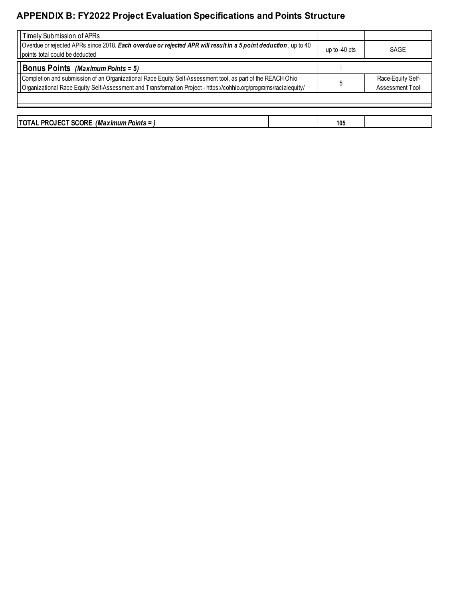| up to $-40$ pts | SAGE                                 |
|-----------------|--------------------------------------|
|                 |                                      |
|                 | Race-Equity Self-<br>Assessment Tool |
|                 |                                      |
|                 |                                      |

| <b>PROJECT SCORE</b><br>(Maximum<br><b>ITOTAL</b><br>ı Points = |  | 105 |  |
|-----------------------------------------------------------------|--|-----|--|
|-----------------------------------------------------------------|--|-----|--|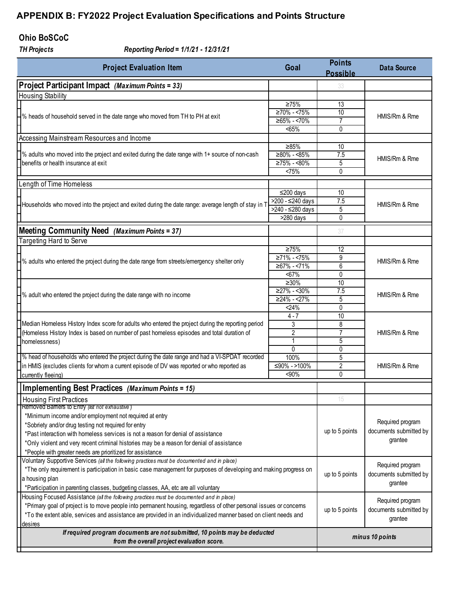### **Ohio BoSCoC**

*TH Projects Reporting Period = 1/1/21 - 12/31/21*

| <b>Project Evaluation Item</b><br>Goal                                                                            |                                      | <b>Points</b><br><b>Possible</b> | <b>Data Source</b>     |
|-------------------------------------------------------------------------------------------------------------------|--------------------------------------|----------------------------------|------------------------|
| Project Participant Impact (Maximum Points = 33)                                                                  |                                      | 33                               |                        |
| <b>Housing Stability</b>                                                                                          |                                      |                                  |                        |
|                                                                                                                   | $\geq 75\%$                          | 13                               |                        |
| $\mathsf{\rightarrow}$ % heads of household served in the date range who moved from TH to PH at exit              | $≥70% - <75%$                        | 10                               | HMIS/Rm & Rme          |
|                                                                                                                   | $≥65% - <70%$                        | 7                                |                        |
|                                                                                                                   | < 65%                                | 0                                |                        |
| Accessing Mainstream Resources and Income                                                                         |                                      |                                  |                        |
|                                                                                                                   | ≥85%                                 | 10                               |                        |
| $\sqrt{\ }$ % adults who moved into the project and exited during the date range with 1+ source of non-cash       | $≥80% - <85%$<br>$\geq 75\% - 580\%$ | 7.5                              | HMIS/Rm & Rme          |
| benefits or health insurance at exit                                                                              | <75%                                 | 5<br>0                           |                        |
|                                                                                                                   |                                      |                                  |                        |
| Length of Time Homeless                                                                                           |                                      |                                  |                        |
|                                                                                                                   | ≤200 days                            | 10                               |                        |
| Households who moved into the project and exited during the date range: average length of stay in T               | >200 - ≤240 days                     | 7.5                              | HMIS/Rm & Rme          |
|                                                                                                                   | >240 - ≤280 days                     | 5<br>$\mathbf{0}$                |                        |
|                                                                                                                   | >280 days                            |                                  |                        |
| Meeting Community Need (Maximum Points = 37)                                                                      |                                      | 37                               |                        |
| Targeting Hard to Serve                                                                                           |                                      |                                  |                        |
|                                                                                                                   | $\geq 75\%$                          | 12                               |                        |
| $\mathsf{\rightarrow}$ % adults who entered the project during the date range from streets/emergency shelter only | $\geq 71\% - 5\%$                    | 9                                | HMIS/Rm & Rme          |
|                                                                                                                   | $≥67% - <71%$                        | 6                                |                        |
|                                                                                                                   | $67%$                                | $\mathbf{0}$                     |                        |
|                                                                                                                   | $\geq 30\%$                          | 10                               |                        |
| $-$ % adult who entered the project during the date range with no income                                          | $≥27% - 30%$                         | 7.5                              | HMIS/Rm & Rme          |
|                                                                                                                   | $≥24% - <27%$<br>24%                 | 5<br>0                           |                        |
|                                                                                                                   | $4 - 7$                              | 10                               |                        |
| Median Homeless History Index score for adults who entered the project during the reporting period                | 3                                    | 8                                |                        |
| (Homeless History Index is based on number of past homeless episodes and total duration of                        | 2                                    | $\overline{7}$                   | HMIS/Rm & Rme          |
| homelessness)                                                                                                     |                                      | 5                                |                        |
|                                                                                                                   | $\Omega$                             | 0                                |                        |
| 1% head of households who entered the project during the date range and had a VI-SPDAT recorded                   | 100%                                 | 5                                |                        |
| in HMIS (excludes clients for whom a current episode of DV was reported or who reported as                        | ≤90% ->100%                          | $\overline{2}$                   | HMIS/Rm & Rme          |
| currently fleeing)                                                                                                | $90%$                                | 0                                |                        |
| <b>Implementing Best Practices</b> (Maximum Points = 15)                                                          |                                      |                                  |                        |
| <b>Housing First Practices</b>                                                                                    |                                      |                                  |                        |
| Removed Bamers to Entry (list not exhaustive)                                                                     |                                      |                                  |                        |
| *Minimum income and/or employment not required at entry                                                           |                                      |                                  |                        |
| *Sobriety and/or drug testing not required for entry                                                              |                                      |                                  | Required program       |
| *Past interaction with homeless services is not a reason for denial of assistance                                 |                                      | up to 5 points                   | documents submitted by |
| *Only violent and very recent criminal histories may be a reason for denial of assistance                         |                                      |                                  | grantee                |
| *People with greater needs are prioritized for assistance                                                         |                                      |                                  |                        |
| Voluntary Supportive Services (all the following practices must be documented and in place)                       |                                      |                                  |                        |
| *The only requirement is participation in basic case management for purposes of developing and making progress on |                                      |                                  | Required program       |
| a housing plan                                                                                                    |                                      | up to 5 points                   | documents submitted by |
| *Participation in parenting classes, budgeting classes, AA, etc are all voluntary                                 |                                      | grantee                          |                        |
| Housing Focused Assistance (all the following practices must be documented and in place)                          |                                      |                                  |                        |
| *Primary goal of project is to move people into permanent housing, regardless of other personal issues or concems |                                      | Required program                 |                        |
| *To the extent able, services and assistance are provided in an individualized manner based on client needs and   |                                      | up to 5 points                   | documents submitted by |
| desires                                                                                                           |                                      |                                  | grantee                |
| If required program documents are not submitted, 10 points may be deducted                                        |                                      |                                  |                        |
| from the overall project evaluation score.                                                                        |                                      |                                  | minus 10 points        |
|                                                                                                                   |                                      |                                  |                        |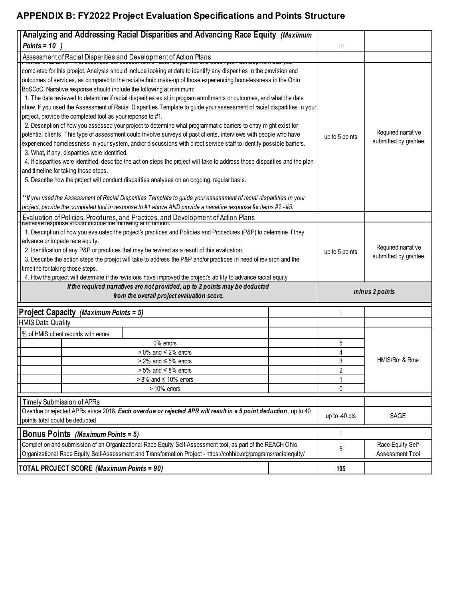| Analyzing and Addressing Racial Disparities and Advancing Race Equity (Maximum                                                                                                                                                                                                                                                                                                                                                                                                                                                                                                                                                                                                                                                                                                                                                                                                                                                                                                                                                                                                                                                                                                                                                                                                                                                                                                                                                                                                                                                                                 |                |                                            |
|----------------------------------------------------------------------------------------------------------------------------------------------------------------------------------------------------------------------------------------------------------------------------------------------------------------------------------------------------------------------------------------------------------------------------------------------------------------------------------------------------------------------------------------------------------------------------------------------------------------------------------------------------------------------------------------------------------------------------------------------------------------------------------------------------------------------------------------------------------------------------------------------------------------------------------------------------------------------------------------------------------------------------------------------------------------------------------------------------------------------------------------------------------------------------------------------------------------------------------------------------------------------------------------------------------------------------------------------------------------------------------------------------------------------------------------------------------------------------------------------------------------------------------------------------------------|----------------|--------------------------------------------|
| Points = $10$ )                                                                                                                                                                                                                                                                                                                                                                                                                                                                                                                                                                                                                                                                                                                                                                                                                                                                                                                                                                                                                                                                                                                                                                                                                                                                                                                                                                                                                                                                                                                                                | 10             |                                            |
| Assessment of Racial Disparities and Development of Action Plans<br>της ασσοσοπισιτίαι ιαυται αισραιτικο από αυτιση ριαιτιών σιοριποιτετιαι γυδ                                                                                                                                                                                                                                                                                                                                                                                                                                                                                                                                                                                                                                                                                                                                                                                                                                                                                                                                                                                                                                                                                                                                                                                                                                                                                                                                                                                                                |                |                                            |
| completed for this proejct. Analysis should include looking at data to identify any disparities in the provision and<br>outcomes of services, as compared to the racial/ethnic make-up of those experiencing homelessness in the Ohio<br>BoSCoC. Narrative response should include the following at minimum:<br>1. The data reviewed to determine if racial disparities exist in program enrollments or outcomes, and what the data<br>show. If you used the Assessment of Racial Disparities Template to guide your assessment of racial dispartities in your<br>project, provide the completed tool as your reponse to #1.<br>2. Description of how you assessed your project to determine what programmatic barriers to entry might exist for<br>potential clients. This type of assessment could involve surveys of past clients, interviews with people who have<br>experienced homelessness in your system, and/or discussions with direct service staff to identify possible barriers.<br>3. What, if any, disparities were identified.<br>4. If disparities were identified, describe the action steps the project will take to address those disparities and the plan<br>and timeline for taking those steps.<br>5. Describe how the project will conduct disparities analyses on an ongoing, regular basis.<br>**If you used the Assessment of Racial Disparities Template to guide your assessment of racial dispartities in your<br>project, provide the completed tool in response to #1 above AND provide a narrative response for items #2 -#5. | up to 5 points | Required narrative<br>submitted by grantee |
| Evaluation of Policies, Procdures, and Practices, and Development of Action Plans                                                                                                                                                                                                                                                                                                                                                                                                                                                                                                                                                                                                                                                                                                                                                                                                                                                                                                                                                                                                                                                                                                                                                                                                                                                                                                                                                                                                                                                                              |                |                                            |
| 1. Description of how you evaluated the project's practices and Policies and Procedures (P&P) to determine if they<br>advance or impede race equity.<br>2. Identifcation of any P&P or practices that may be revised as a result of this evaluation.<br>3. Describe the action steps the proejct will take to address the P&P and/or practices in need of revision and the<br>timeline for taking those steps.<br>4. How the project will determine if the revisions have improved the project's ability to advance racial equity                                                                                                                                                                                                                                                                                                                                                                                                                                                                                                                                                                                                                                                                                                                                                                                                                                                                                                                                                                                                                              | up to 5 points | Required narrative<br>submitted by grantee |
| If the required narratives are not provided, up to 2 points may be deducted<br>from the overall project evaluation score.                                                                                                                                                                                                                                                                                                                                                                                                                                                                                                                                                                                                                                                                                                                                                                                                                                                                                                                                                                                                                                                                                                                                                                                                                                                                                                                                                                                                                                      | minus 2 points |                                            |
| Project Capacity (Maximum Points = 5)                                                                                                                                                                                                                                                                                                                                                                                                                                                                                                                                                                                                                                                                                                                                                                                                                                                                                                                                                                                                                                                                                                                                                                                                                                                                                                                                                                                                                                                                                                                          | 5              |                                            |
| <b>HMIS Data Quality</b>                                                                                                                                                                                                                                                                                                                                                                                                                                                                                                                                                                                                                                                                                                                                                                                                                                                                                                                                                                                                                                                                                                                                                                                                                                                                                                                                                                                                                                                                                                                                       |                |                                            |
| % of HMIS client records with errors                                                                                                                                                                                                                                                                                                                                                                                                                                                                                                                                                                                                                                                                                                                                                                                                                                                                                                                                                                                                                                                                                                                                                                                                                                                                                                                                                                                                                                                                                                                           |                |                                            |
| 0% errors                                                                                                                                                                                                                                                                                                                                                                                                                                                                                                                                                                                                                                                                                                                                                                                                                                                                                                                                                                                                                                                                                                                                                                                                                                                                                                                                                                                                                                                                                                                                                      | 5              |                                            |
| $>0\%$ and $\leq 2\%$ errors                                                                                                                                                                                                                                                                                                                                                                                                                                                                                                                                                                                                                                                                                                                                                                                                                                                                                                                                                                                                                                                                                                                                                                                                                                                                                                                                                                                                                                                                                                                                   | 4              |                                            |
| $> 2\%$ and $\leq 5\%$ errors                                                                                                                                                                                                                                                                                                                                                                                                                                                                                                                                                                                                                                                                                                                                                                                                                                                                                                                                                                                                                                                                                                                                                                                                                                                                                                                                                                                                                                                                                                                                  | 3              | HMIS/Rm & Rme                              |
| $> 5\%$ and $\leq 8\%$ errors                                                                                                                                                                                                                                                                                                                                                                                                                                                                                                                                                                                                                                                                                                                                                                                                                                                                                                                                                                                                                                                                                                                                                                                                                                                                                                                                                                                                                                                                                                                                  | 2              |                                            |
| $> 8\%$ and $\leq 10\%$ errors                                                                                                                                                                                                                                                                                                                                                                                                                                                                                                                                                                                                                                                                                                                                                                                                                                                                                                                                                                                                                                                                                                                                                                                                                                                                                                                                                                                                                                                                                                                                 |                |                                            |
| $>10\%$ errors                                                                                                                                                                                                                                                                                                                                                                                                                                                                                                                                                                                                                                                                                                                                                                                                                                                                                                                                                                                                                                                                                                                                                                                                                                                                                                                                                                                                                                                                                                                                                 | 0              |                                            |
| Timely Submission of APRs                                                                                                                                                                                                                                                                                                                                                                                                                                                                                                                                                                                                                                                                                                                                                                                                                                                                                                                                                                                                                                                                                                                                                                                                                                                                                                                                                                                                                                                                                                                                      |                |                                            |
| Overdue or rejected APRs since 2018. Each overdue or rejected APR will result in a 5 point deduction, up to 40<br>points total could be deducted                                                                                                                                                                                                                                                                                                                                                                                                                                                                                                                                                                                                                                                                                                                                                                                                                                                                                                                                                                                                                                                                                                                                                                                                                                                                                                                                                                                                               | up to -40 pts  | SAGE                                       |
| <b>Bonus Points</b> (Maximum Points = 5)                                                                                                                                                                                                                                                                                                                                                                                                                                                                                                                                                                                                                                                                                                                                                                                                                                                                                                                                                                                                                                                                                                                                                                                                                                                                                                                                                                                                                                                                                                                       | 5              |                                            |
| Completion and submission of an Organizational Race Equity Self-Assessment tool, as part of the REACH Ohio<br>Organizational Race Equity Self-Assessment and Transformation Project - https://cohhio.org/programs/racialequity/                                                                                                                                                                                                                                                                                                                                                                                                                                                                                                                                                                                                                                                                                                                                                                                                                                                                                                                                                                                                                                                                                                                                                                                                                                                                                                                                | 5              | Race-Equity Self-<br>Assessment Tool       |
| TOTAL PROJECT SCORE (Maximum Points = 90)                                                                                                                                                                                                                                                                                                                                                                                                                                                                                                                                                                                                                                                                                                                                                                                                                                                                                                                                                                                                                                                                                                                                                                                                                                                                                                                                                                                                                                                                                                                      | 105            |                                            |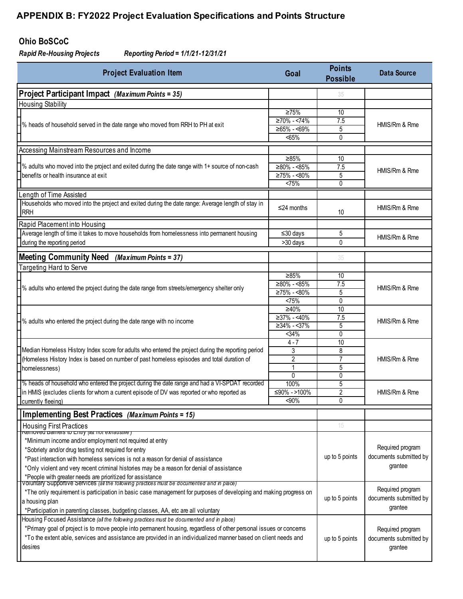### **Ohio BoSCoC**

*Rapid Re-Housing Projects Reporting Period = 1/1/21-12/31/21*

| <b>Project Evaluation Item</b><br>Goal                                                                                                                                                                                               |                                    |                                            | <b>Data Source</b>     |  |  |
|--------------------------------------------------------------------------------------------------------------------------------------------------------------------------------------------------------------------------------------|------------------------------------|--------------------------------------------|------------------------|--|--|
| Project Participant Impact (Maximum Points = 35)                                                                                                                                                                                     |                                    | 35                                         |                        |  |  |
| <b>Housing Stability</b>                                                                                                                                                                                                             |                                    |                                            |                        |  |  |
|                                                                                                                                                                                                                                      | $\geq 75\%$                        | 10                                         |                        |  |  |
| -% heads of household served in the date range who moved from RRH to PH at exit                                                                                                                                                      | $≥70% - <74%$                      | 7.5                                        | HMIS/Rm & Rme          |  |  |
|                                                                                                                                                                                                                                      | $\geq 65\% - 69\%$                 | 5                                          |                        |  |  |
|                                                                                                                                                                                                                                      | $65%$                              | 0                                          |                        |  |  |
| Accessing Mainstream Resources and Income                                                                                                                                                                                            |                                    |                                            |                        |  |  |
| 1% adults who moved into the project and exited during the date range with 1+ source of non-cash                                                                                                                                     | $\geq 85\%$<br>$≥80% - <85%$       | 10<br>7.5                                  |                        |  |  |
| benefits or health insurance at exit                                                                                                                                                                                                 | ≥75% - <80%                        | 5                                          | HMIS/Rm & Rme          |  |  |
|                                                                                                                                                                                                                                      | <75%                               | 0                                          |                        |  |  |
| Length of Time Assisted                                                                                                                                                                                                              |                                    |                                            |                        |  |  |
| Households who moved into the project and exited during the date range: Average length of stay in                                                                                                                                    |                                    |                                            |                        |  |  |
| RRH                                                                                                                                                                                                                                  | $\leq$ 24 months                   | 10                                         | HMIS/Rm & Rme          |  |  |
| Rapid Placement into Housing                                                                                                                                                                                                         |                                    |                                            |                        |  |  |
| Average length of time it takes to move households from homelessness into permanent housing                                                                                                                                          | ≤30 days                           | 5                                          |                        |  |  |
| during the reporting period                                                                                                                                                                                                          | >30 days                           | 0                                          | HMIS/Rm & Rme          |  |  |
| (Maximum Points = 37)                                                                                                                                                                                                                |                                    |                                            |                        |  |  |
| <b>Meeting Community Need</b><br>Targeting Hard to Serve                                                                                                                                                                             |                                    | 35                                         |                        |  |  |
|                                                                                                                                                                                                                                      | $\geq 85\%$                        | 10                                         |                        |  |  |
|                                                                                                                                                                                                                                      | $≥80% - <85%$                      | 7.5                                        |                        |  |  |
| -% adults who entered the project during the date range from streets/emergency shelter only                                                                                                                                          | $≥75% - <80%$                      | 5                                          | HMIS/Rm & Rme          |  |  |
|                                                                                                                                                                                                                                      | <75%                               | 0                                          |                        |  |  |
|                                                                                                                                                                                                                                      | ≥40%                               | 10                                         |                        |  |  |
| -% adults who entered the project during the date range with no income                                                                                                                                                               | $\geq 37\% - 40\%$<br>$≥34% - 37%$ | $\overline{7.5}$<br>5                      | HMIS/Rm & Rme          |  |  |
|                                                                                                                                                                                                                                      | 34%                                | 0                                          |                        |  |  |
|                                                                                                                                                                                                                                      | $4 - 7$                            | 10                                         |                        |  |  |
| Median Homeless History Index score for adults who entered the project during the reporting period                                                                                                                                   | 3                                  | 8                                          |                        |  |  |
| (Homeless History Index is based on number of past homeless episodes and total duration of                                                                                                                                           | 2                                  | $\overline{7}$                             | HMIS/Rm & Rme          |  |  |
| homelessness)                                                                                                                                                                                                                        | $\mathbf{1}$<br>$\Omega$           | 5<br>0                                     |                        |  |  |
| % heads of household who entered the project during the date range and had a VI-SPDAT recorded                                                                                                                                       | 100%                               | 5                                          |                        |  |  |
| in HMIS (excludes clients for whom a current episode of DV was reported or who reported as                                                                                                                                           | ≤90% ->100%                        | $\overline{2}$                             | HMIS/Rm & Rme          |  |  |
| currently fleeing)                                                                                                                                                                                                                   | <90%                               | 0                                          |                        |  |  |
| Implementing Best Practices (Maximum Points = 15)                                                                                                                                                                                    |                                    |                                            |                        |  |  |
| Housing First Practices                                                                                                                                                                                                              |                                    | 15                                         |                        |  |  |
|                                                                                                                                                                                                                                      |                                    |                                            |                        |  |  |
| *Minimum income and/or employment not required at entry                                                                                                                                                                              |                                    |                                            | Required program       |  |  |
| *Sobriety and/or drug testing not required for entry<br>*Past interaction with homeless services is not a reason for denial of assistance                                                                                            |                                    | up to 5 points                             | documents submitted by |  |  |
| *Only violent and very recent criminal histories may be a reason for denial of assistance                                                                                                                                            |                                    |                                            | grantee                |  |  |
|                                                                                                                                                                                                                                      |                                    |                                            |                        |  |  |
| *People with greater needs are prioritized for assistance<br>voluntary Supportive Services (all the following practices must be documented and in place)                                                                             |                                    |                                            |                        |  |  |
| *The only requirement is participation in basic case management for purposes of developing and making progress on                                                                                                                    | up to 5 points                     | Required program<br>documents submitted by |                        |  |  |
| a housing plan                                                                                                                                                                                                                       |                                    | grantee                                    |                        |  |  |
| *Participation in parenting classes, budgeting classes, AA, etc are all voluntary                                                                                                                                                    |                                    |                                            |                        |  |  |
| Housing Focused Assistance (all the following practices must be documented and in place)                                                                                                                                             |                                    |                                            |                        |  |  |
| *Primary goal of project is to move people into permanent housing, regardless of other personal issues or concems<br>*To the extent able, services and assistance are provided in an individualized manner based on client needs and |                                    |                                            | Required program       |  |  |
| desires                                                                                                                                                                                                                              |                                    | up to 5 points                             | documents submitted by |  |  |
|                                                                                                                                                                                                                                      |                                    |                                            | grantee                |  |  |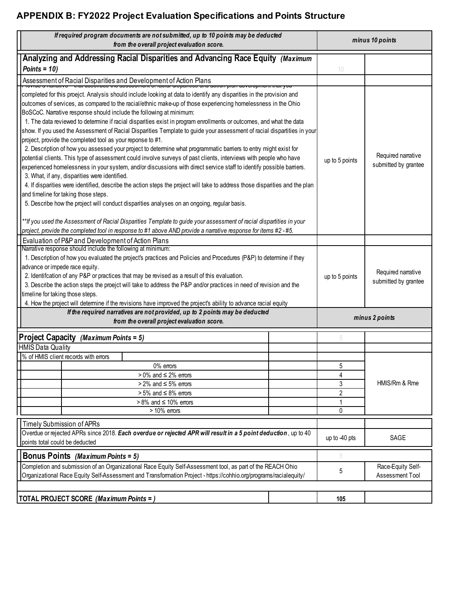| If required program documents are not submitted, up to 10 points may be deducted<br>from the overall project evaluation score.                                                                                                                                                                                                                                                                                                                                                                                                                                                                                                                                                                                                                                                                                                                                                                                                                                                                                                                                                                                                                                                                                                                                                                                        |                |                                            | minus 10 points                            |  |  |
|-----------------------------------------------------------------------------------------------------------------------------------------------------------------------------------------------------------------------------------------------------------------------------------------------------------------------------------------------------------------------------------------------------------------------------------------------------------------------------------------------------------------------------------------------------------------------------------------------------------------------------------------------------------------------------------------------------------------------------------------------------------------------------------------------------------------------------------------------------------------------------------------------------------------------------------------------------------------------------------------------------------------------------------------------------------------------------------------------------------------------------------------------------------------------------------------------------------------------------------------------------------------------------------------------------------------------|----------------|--------------------------------------------|--------------------------------------------|--|--|
| Analyzing and Addressing Racial Disparities and Advancing Race Equity (Maximum                                                                                                                                                                                                                                                                                                                                                                                                                                                                                                                                                                                                                                                                                                                                                                                                                                                                                                                                                                                                                                                                                                                                                                                                                                        |                |                                            |                                            |  |  |
| Points = $10$ )                                                                                                                                                                                                                                                                                                                                                                                                                                                                                                                                                                                                                                                                                                                                                                                                                                                                                                                                                                                                                                                                                                                                                                                                                                                                                                       |                | 10                                         |                                            |  |  |
| Assessment of Racial Disparities and Development of Action Plans<br><del>• nonge a nanuave – that acoonses the assessment or naonal unspantes and action plan ac</del>                                                                                                                                                                                                                                                                                                                                                                                                                                                                                                                                                                                                                                                                                                                                                                                                                                                                                                                                                                                                                                                                                                                                                |                |                                            |                                            |  |  |
| completed for this proejct. Analysis should include looking at data to identify any disparities in the provision and<br>outcomes of services, as compared to the racial/ethnic make-up of those experiencing homelessness in the Ohio<br>BoSCoC. Narrative response should include the following at minimum:<br>1. The data reviewed to determine if racial disparities exist in program enrollments or outcomes, and what the data<br>show. If you used the Assessment of Racial Disparities Template to guide your assessment of racial dispartities in your<br>project, provide the completed tool as your reponse to #1.<br>2. Description of how you assessed your project to determine what programmatic barriers to entry might exist for<br>potential clients. This type of assessment could involve surveys of past clients, interviews with people who have<br>experienced homelessness in your system, and/or discussions with direct service staff to identify possible barriers.<br>3. What, if any, disparities were identified.<br>4. If disparities were identified, describe the action steps the project will take to address those disparities and the plan<br>and timeline for taking those steps.<br>5. Describe how the project will conduct disparities analyses on an ongoing, regular basis. |                |                                            | Required narrative<br>submitted by grantee |  |  |
| **If you used the Assessment of Racial Disparities Template to guide your assessment of racial dispartities in your<br>project, provide the completed tool in response to #1 above AND provide a narrative response for items #2 - #5.                                                                                                                                                                                                                                                                                                                                                                                                                                                                                                                                                                                                                                                                                                                                                                                                                                                                                                                                                                                                                                                                                |                |                                            |                                            |  |  |
| Evaluation of P&P and Development of Action Plans                                                                                                                                                                                                                                                                                                                                                                                                                                                                                                                                                                                                                                                                                                                                                                                                                                                                                                                                                                                                                                                                                                                                                                                                                                                                     |                |                                            |                                            |  |  |
| Narrative response should include the following at minimum:<br>1. Description of how you evaluated the project's practices and Policies and Procedures (P&P) to determine if they<br>advance or impede race equity.<br>2. Identifcation of any P&P or practices that may be revised as a result of this evaluation.<br>3. Describe the action steps the proejct will take to address the P&P and/or practices in need of revision and the<br>timeline for taking those steps.<br>4. How the project will determine if the revisions have improved the project's ability to advance racial equity                                                                                                                                                                                                                                                                                                                                                                                                                                                                                                                                                                                                                                                                                                                      | up to 5 points | Required narrative<br>submitted by grantee |                                            |  |  |
| If the required narratives are not provided, up to 2 points may be deducted                                                                                                                                                                                                                                                                                                                                                                                                                                                                                                                                                                                                                                                                                                                                                                                                                                                                                                                                                                                                                                                                                                                                                                                                                                           |                | minus 2 points                             |                                            |  |  |
| from the overall project evaluation score.                                                                                                                                                                                                                                                                                                                                                                                                                                                                                                                                                                                                                                                                                                                                                                                                                                                                                                                                                                                                                                                                                                                                                                                                                                                                            |                |                                            |                                            |  |  |
| Project Capacity (Maximum Points = 5)                                                                                                                                                                                                                                                                                                                                                                                                                                                                                                                                                                                                                                                                                                                                                                                                                                                                                                                                                                                                                                                                                                                                                                                                                                                                                 |                | 5                                          |                                            |  |  |
| <b>HMIS Data Quality</b>                                                                                                                                                                                                                                                                                                                                                                                                                                                                                                                                                                                                                                                                                                                                                                                                                                                                                                                                                                                                                                                                                                                                                                                                                                                                                              |                |                                            |                                            |  |  |
| % of HMIS client records with errors                                                                                                                                                                                                                                                                                                                                                                                                                                                                                                                                                                                                                                                                                                                                                                                                                                                                                                                                                                                                                                                                                                                                                                                                                                                                                  |                |                                            |                                            |  |  |
| 0% errors                                                                                                                                                                                                                                                                                                                                                                                                                                                                                                                                                                                                                                                                                                                                                                                                                                                                                                                                                                                                                                                                                                                                                                                                                                                                                                             |                | 5                                          |                                            |  |  |
| $>0\%$ and $\leq 2\%$ errors                                                                                                                                                                                                                                                                                                                                                                                                                                                                                                                                                                                                                                                                                                                                                                                                                                                                                                                                                                                                                                                                                                                                                                                                                                                                                          |                | 4                                          |                                            |  |  |
| $> 2\%$ and $\leq 5\%$ errors                                                                                                                                                                                                                                                                                                                                                                                                                                                                                                                                                                                                                                                                                                                                                                                                                                                                                                                                                                                                                                                                                                                                                                                                                                                                                         |                | 3                                          | HMIS/Rm & Rme                              |  |  |
| $> 5\%$ and $\leq 8\%$ errors                                                                                                                                                                                                                                                                                                                                                                                                                                                                                                                                                                                                                                                                                                                                                                                                                                                                                                                                                                                                                                                                                                                                                                                                                                                                                         |                | 2                                          |                                            |  |  |
| $> 8\%$ and $\leq 10\%$ errors<br>$>10\%$ errors                                                                                                                                                                                                                                                                                                                                                                                                                                                                                                                                                                                                                                                                                                                                                                                                                                                                                                                                                                                                                                                                                                                                                                                                                                                                      |                | 1<br>0                                     |                                            |  |  |
|                                                                                                                                                                                                                                                                                                                                                                                                                                                                                                                                                                                                                                                                                                                                                                                                                                                                                                                                                                                                                                                                                                                                                                                                                                                                                                                       |                |                                            |                                            |  |  |
| <b>Timely Submission of APRs</b>                                                                                                                                                                                                                                                                                                                                                                                                                                                                                                                                                                                                                                                                                                                                                                                                                                                                                                                                                                                                                                                                                                                                                                                                                                                                                      |                |                                            |                                            |  |  |
| Overdue or rejected APRs since 2018. Each overdue or rejected APR will result in a 5 point deduction, up to 40<br>points total could be deducted                                                                                                                                                                                                                                                                                                                                                                                                                                                                                                                                                                                                                                                                                                                                                                                                                                                                                                                                                                                                                                                                                                                                                                      |                |                                            | SAGE                                       |  |  |
| <b>Bonus Points</b> (Maximum Points = 5)                                                                                                                                                                                                                                                                                                                                                                                                                                                                                                                                                                                                                                                                                                                                                                                                                                                                                                                                                                                                                                                                                                                                                                                                                                                                              |                |                                            |                                            |  |  |
| Completion and submission of an Organizational Race Equity Self-Assessment tool, as part of the REACH Ohio<br>Organizational Race Equity Self-Assessment and Transformation Project - https://cohhio.org/programs/racialequity/                                                                                                                                                                                                                                                                                                                                                                                                                                                                                                                                                                                                                                                                                                                                                                                                                                                                                                                                                                                                                                                                                       |                |                                            | Race-Equity Self-<br>Assessment Tool       |  |  |
|                                                                                                                                                                                                                                                                                                                                                                                                                                                                                                                                                                                                                                                                                                                                                                                                                                                                                                                                                                                                                                                                                                                                                                                                                                                                                                                       |                |                                            |                                            |  |  |
| TOTAL PROJECT SCORE (Maximum Points = )                                                                                                                                                                                                                                                                                                                                                                                                                                                                                                                                                                                                                                                                                                                                                                                                                                                                                                                                                                                                                                                                                                                                                                                                                                                                               |                | 105                                        |                                            |  |  |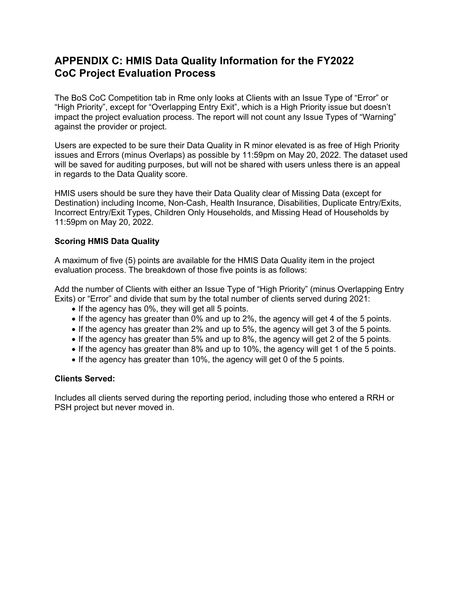# **APPENDIX C: HMIS Data Quality Information for the FY2022 CoC Project Evaluation Process**

The BoS CoC Competition tab in Rme only looks at Clients with an Issue Type of "Error" or "High Priority", except for "Overlapping Entry Exit", which is a High Priority issue but doesn't impact the project evaluation process. The report will not count any Issue Types of "Warning" against the provider or project.

Users are expected to be sure their Data Quality in R minor elevated is as free of High Priority issues and Errors (minus Overlaps) as possible by 11:59pm on May 20, 2022. The dataset used will be saved for auditing purposes, but will not be shared with users unless there is an appeal in regards to the Data Quality score.

HMIS users should be sure they have their Data Quality clear of Missing Data (except for Destination) including Income, Non-Cash, Health Insurance, Disabilities, Duplicate Entry/Exits, Incorrect Entry/Exit Types, Children Only Households, and Missing Head of Households by 11:59pm on May 20, 2022.

#### **Scoring HMIS Data Quality**

A maximum of five (5) points are available for the HMIS Data Quality item in the project evaluation process. The breakdown of those five points is as follows:

Add the number of Clients with either an Issue Type of "High Priority" (minus Overlapping Entry Exits) or "Error" and divide that sum by the total number of clients served during 2021:

- If the agency has 0%, they will get all 5 points.
- If the agency has greater than 0% and up to 2%, the agency will get 4 of the 5 points.
- If the agency has greater than 2% and up to 5%, the agency will get 3 of the 5 points.
- If the agency has greater than 5% and up to 8%, the agency will get 2 of the 5 points.
- If the agency has greater than 8% and up to 10%, the agency will get 1 of the 5 points.
- If the agency has greater than 10%, the agency will get 0 of the 5 points.

#### **Clients Served:**

Includes all clients served during the reporting period, including those who entered a RRH or PSH project but never moved in.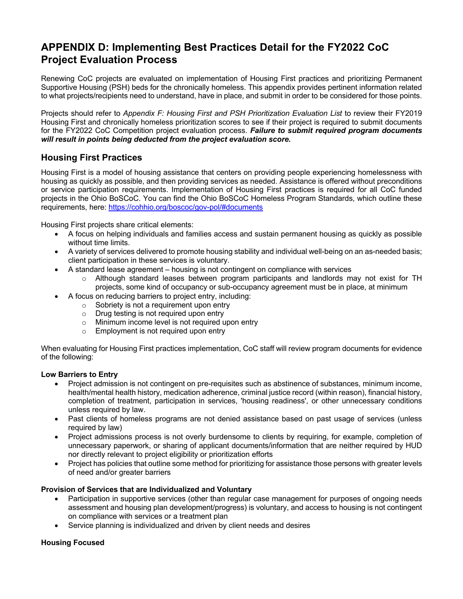# **APPENDIX D: Implementing Best Practices Detail for the FY2022 CoC Project Evaluation Process**

Renewing CoC projects are evaluated on implementation of Housing First practices and prioritizing Permanent Supportive Housing (PSH) beds for the chronically homeless. This appendix provides pertinent information related to what projects/recipients need to understand, have in place, and submit in order to be considered for those points.

Projects should refer to *Appendix F: Housing First and PSH Prioritization Evaluation List* to review their FY2019 Housing First and chronically homeless prioritization scores to see if their project is required to submit documents for the FY2022 CoC Competition project evaluation process. *Failure to submit required program documents will result in points being deducted from the project evaluation score.*

### **Housing First Practices**

Housing First is a model of housing assistance that centers on providing people experiencing homelessness with housing as quickly as possible, and then providing services as needed. Assistance is offered without preconditions or service participation requirements. Implementation of Housing First practices is required for all CoC funded projects in the Ohio BoSCoC. You can find the Ohio BoSCoC Homeless Program Standards, which outline these requirements, here: https://cohhio.org/boscoc/gov-pol/#documents

Housing First projects share critical elements:

- A focus on helping individuals and families access and sustain permanent housing as quickly as possible without time limits.
- A variety of services delivered to promote housing stability and individual well-being on an as-needed basis; client participation in these services is voluntary.
	- A standard lease agreement housing is not contingent on compliance with services
		- o Although standard leases between program participants and landlords may not exist for TH projects, some kind of occupancy or sub-occupancy agreement must be in place, at minimum
	- A focus on reducing barriers to project entry, including:
		- o Sobriety is not a requirement upon entry
		- o Drug testing is not required upon entry
		- o Minimum income level is not required upon entry
		- o Employment is not required upon entry

When evaluating for Housing First practices implementation, CoC staff will review program documents for evidence of the following:

#### **Low Barriers to Entry**

- Project admission is not contingent on pre-requisites such as abstinence of substances, minimum income, health/mental health history, medication adherence, criminal justice record (within reason), financial history, completion of treatment, participation in services, 'housing readiness', or other unnecessary conditions unless required by law.
- Past clients of homeless programs are not denied assistance based on past usage of services (unless required by law)
- Project admissions process is not overly burdensome to clients by requiring, for example, completion of unnecessary paperwork, or sharing of applicant documents/information that are neither required by HUD nor directly relevant to project eligibility or prioritization efforts
- Project has policies that outline some method for prioritizing for assistance those persons with greater levels of need and/or greater barriers

#### **Provision of Services that are Individualized and Voluntary**

- Participation in supportive services (other than regular case management for purposes of ongoing needs assessment and housing plan development/progress) is voluntary, and access to housing is not contingent on compliance with services or a treatment plan
- Service planning is individualized and driven by client needs and desires

#### **Housing Focused**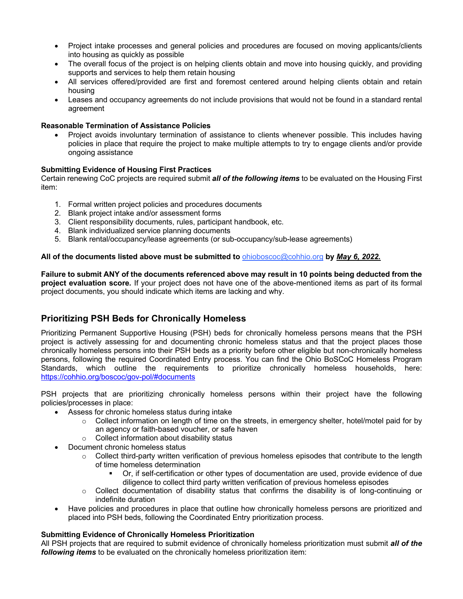- Project intake processes and general policies and procedures are focused on moving applicants/clients into housing as quickly as possible
- The overall focus of the project is on helping clients obtain and move into housing quickly, and providing supports and services to help them retain housing
- All services offered/provided are first and foremost centered around helping clients obtain and retain housing
- Leases and occupancy agreements do not include provisions that would not be found in a standard rental agreement

#### **Reasonable Termination of Assistance Policies**

Project avoids involuntary termination of assistance to clients whenever possible. This includes having policies in place that require the project to make multiple attempts to try to engage clients and/or provide ongoing assistance

#### **Submitting Evidence of Housing First Practices**

Certain renewing CoC projects are required submit *all of the following items* to be evaluated on the Housing First item:

- 1. Formal written project policies and procedures documents
- 2. Blank project intake and/or assessment forms
- 3. Client responsibility documents, rules, participant handbook, etc.
- 4. Blank individualized service planning documents
- 5. Blank rental/occupancy/lease agreements (or sub-occupancy/sub-lease agreements)

#### **All of the documents listed above must be submitted to** ohioboscoc@cohhio.org **by** *May 6, 2022.*

**Failure to submit ANY of the documents referenced above may result in 10 points being deducted from the project evaluation score***.* If your project does not have one of the above-mentioned items as part of its formal project documents, you should indicate which items are lacking and why.

### **Prioritizing PSH Beds for Chronically Homeless**

Prioritizing Permanent Supportive Housing (PSH) beds for chronically homeless persons means that the PSH project is actively assessing for and documenting chronic homeless status and that the project places those chronically homeless persons into their PSH beds as a priority before other eligible but non-chronically homeless persons, following the required Coordinated Entry process. You can find the Ohio BoSCoC Homeless Program Standards, which outline the requirements to prioritize chronically homeless households, here: https://cohhio.org/boscoc/gov-pol/#documents

PSH projects that are prioritizing chronically homeless persons within their project have the following policies/processes in place:

- Assess for chronic homeless status during intake
	- o Collect information on length of time on the streets, in emergency shelter, hotel/motel paid for by an agency or faith-based voucher, or safe haven
	- o Collect information about disability status
- Document chronic homeless status
	- $\circ$  Collect third-party written verification of previous homeless episodes that contribute to the length of time homeless determination
		- § Or, if self-certification or other types of documentation are used, provide evidence of due diligence to collect third party written verification of previous homeless episodes
	- $\circ$  Collect documentation of disability status that confirms the disability is of long-continuing or indefinite duration
- Have policies and procedures in place that outline how chronically homeless persons are prioritized and placed into PSH beds, following the Coordinated Entry prioritization process.

#### **Submitting Evidence of Chronically Homeless Prioritization**

All PSH projects that are required to submit evidence of chronically homeless prioritization must submit *all of the following items* to be evaluated on the chronically homeless prioritization item: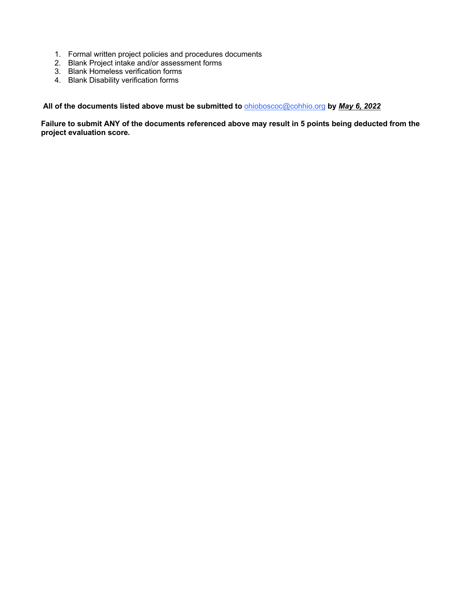- 1. Formal written project policies and procedures documents
- 2. Blank Project intake and/or assessment forms
- 3. Blank Homeless verification forms
- 4. Blank Disability verification forms

**All of the documents listed above must be submitted to** ohioboscoc@cohhio.org **by** *May 6, 2022*

**Failure to submit ANY of the documents referenced above may result in 5 points being deducted from the project evaluation score***.*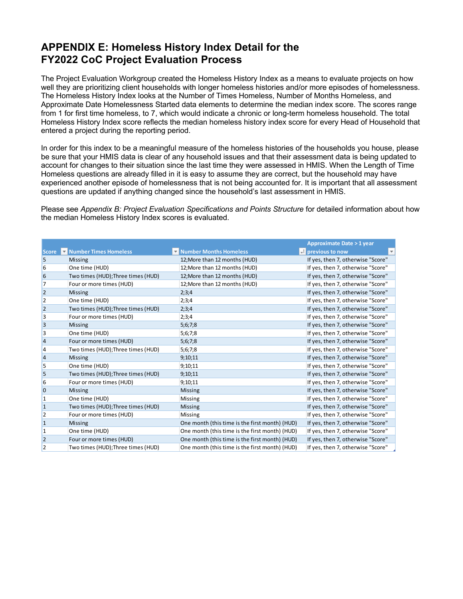# **APPENDIX E: Homeless History Index Detail for the FY2022 CoC Project Evaluation Process**

The Project Evaluation Workgroup created the Homeless History Index as a means to evaluate projects on how well they are prioritizing client households with longer homeless histories and/or more episodes of homelessness. The Homeless History Index looks at the Number of Times Homeless, Number of Months Homeless, and Approximate Date Homelessness Started data elements to determine the median index score. The scores range from 1 for first time homeless, to 7, which would indicate a chronic or long-term homeless household. The total Homeless History Index score reflects the median homeless history index score for every Head of Household that entered a project during the reporting period.

In order for this index to be a meaningful measure of the homeless histories of the households you house, please be sure that your HMIS data is clear of any household issues and that their assessment data is being updated to account for changes to their situation since the last time they were assessed in HMIS. When the Length of Time Homeless questions are already filled in it is easy to assume they are correct, but the household may have experienced another episode of homelessness that is not being accounted for. It is important that all assessment questions are updated if anything changed since the household's last assessment in HMIS.

Please see *Appendix B: Project Evaluation Specifications and Points Structure* for detailed information about how the median Homeless History Index scores is evaluated.

|              |                                    |                                                | <b>Approximate Date &gt; 1 year</b>           |
|--------------|------------------------------------|------------------------------------------------|-----------------------------------------------|
| <b>Score</b> | Mumber Times Homeless              | Mumber Months Homeless                         | -i previous to now<br>$\overline{\mathbf{v}}$ |
| 5            | <b>Missing</b>                     | 12; More than 12 months (HUD)                  | If yes, then 7, otherwise "Score"             |
| 6            | One time (HUD)                     | 12; More than 12 months (HUD)                  | If yes, then 7, otherwise "Score"             |
| 6            | Two times (HUD); Three times (HUD) | 12; More than 12 months (HUD)                  | If yes, then 7, otherwise "Score"             |
| 7            | Four or more times (HUD)           | 12; More than 12 months (HUD)                  | If yes, then 7, otherwise "Score"             |
| 2            | <b>Missing</b>                     | 2;3;4                                          | If yes, then 7, otherwise "Score"             |
| 2            | One time (HUD)                     | 2;3;4                                          | If yes, then 7, otherwise "Score"             |
| 2            | Two times (HUD); Three times (HUD) | 2;3;4                                          | If yes, then 7, otherwise "Score"             |
| 3            | Four or more times (HUD)           | 2;3;4                                          | If yes, then 7, otherwise "Score"             |
| 3            | <b>Missing</b>                     | 5;6;7;8                                        | If yes, then 7, otherwise "Score"             |
| 3            | One time (HUD)                     | 5;6;7;8                                        | If yes, then 7, otherwise "Score"             |
| 4            | Four or more times (HUD)           | 5;6;7;8                                        | If yes, then 7, otherwise "Score"             |
| 4            | Two times (HUD); Three times (HUD) | 5;6;7;8                                        | If yes, then 7, otherwise "Score"             |
| 4            | <b>Missing</b>                     | 9;10;11                                        | If yes, then 7, otherwise "Score"             |
| 5            | One time (HUD)                     | 9;10;11                                        | If yes, then 7, otherwise "Score"             |
| 5            | Two times (HUD); Three times (HUD) | 9;10;11                                        | If yes, then 7, otherwise "Score"             |
| 6            | Four or more times (HUD)           | 9;10;11                                        | If yes, then 7, otherwise "Score"             |
| 0            | <b>Missing</b>                     | <b>Missing</b>                                 | If yes, then 7, otherwise "Score"             |
| 1            | One time (HUD)                     | Missing                                        | If yes, then 7, otherwise "Score"             |
| $\mathbf{1}$ | Two times (HUD); Three times (HUD) | <b>Missing</b>                                 | If yes, then 7, otherwise "Score"             |
| 2            | Four or more times (HUD)           | Missing                                        | If yes, then 7, otherwise "Score"             |
| 1            | <b>Missing</b>                     | One month (this time is the first month) (HUD) | If yes, then 7, otherwise "Score"             |
| 1            | One time (HUD)                     | One month (this time is the first month) (HUD) | If yes, then 7, otherwise "Score"             |
| 2            | Four or more times (HUD)           | One month (this time is the first month) (HUD) | If yes, then 7, otherwise "Score"             |
| 2            | Two times (HUD); Three times (HUD) | One month (this time is the first month) (HUD) | If yes, then 7, otherwise "Score"             |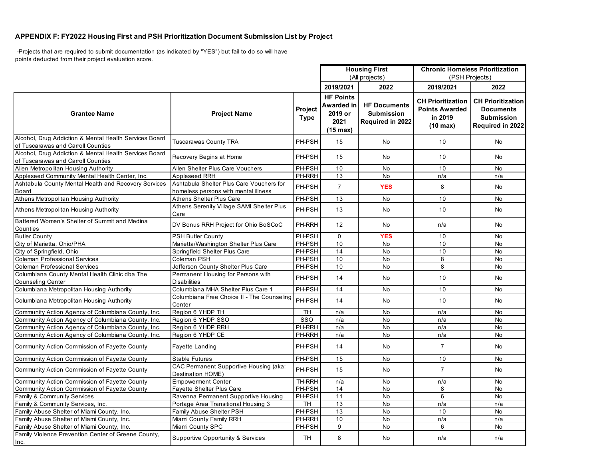#### **APPENDIX F: FY2022 Housing First and PSH Prioritization Document Submission List by Project**

 -Projects that are required to submit documentation (as indicated by "YES") but fail to do so will have points deducted from their project evaluation score.

|                                                                                              |                                                                                  |                        |                                                                         | <b>Housing First</b>                                         | <b>Chronic Homeless Prioritization</b>                                             |                                                                                       |
|----------------------------------------------------------------------------------------------|----------------------------------------------------------------------------------|------------------------|-------------------------------------------------------------------------|--------------------------------------------------------------|------------------------------------------------------------------------------------|---------------------------------------------------------------------------------------|
|                                                                                              |                                                                                  |                        | (All projects)                                                          |                                                              | (PSH Projects)                                                                     |                                                                                       |
|                                                                                              |                                                                                  |                        | 2019/2021                                                               | 2022                                                         | 2019/2021                                                                          | 2022                                                                                  |
| <b>Grantee Name</b>                                                                          | <b>Project Name</b>                                                              | Project<br><b>Type</b> | <b>HF Points</b><br>Awarded in<br>2019 or<br>2021<br>$(15 \text{ max})$ | <b>HF Documents</b><br><b>Submission</b><br>Required in 2022 | <b>CH Prioritization</b><br><b>Points Awarded</b><br>in 2019<br>$(10 \text{ max})$ | <b>CH Prioritization</b><br><b>Documents</b><br><b>Submission</b><br>Required in 2022 |
| Alcohol, Drug Addiction & Mental Health Services Board<br>of Tuscarawas and Carroll Counties | <b>Tuscarawas County TRA</b>                                                     | PH-PSH                 | 15                                                                      | <b>No</b>                                                    | 10                                                                                 | <b>No</b>                                                                             |
| Alcohol, Drug Addiction & Mental Health Services Board<br>of Tuscarawas and Carroll Counties | Recovery Begins at Home                                                          | PH-PSH                 | 15                                                                      | No                                                           | 10                                                                                 | <b>No</b>                                                                             |
| Allen Metropolitan Housing Authority                                                         | Allen Shelter Plus Care Vouchers                                                 | PH-PSH                 | 10                                                                      | No                                                           | 10                                                                                 | No                                                                                    |
| Appleseed Community Mental Health Center, Inc.                                               | Appleseed RRH                                                                    | PH-RRH                 | 13                                                                      | No                                                           | n/a                                                                                | n/a                                                                                   |
| Ashtabula County Mental Health and Recovery Services<br>Board                                | Ashtabula Shelter Plus Care Vouchers for<br>homeless persons with mental illness | PH-PSH                 | $\overline{7}$                                                          | <b>YES</b>                                                   | 8                                                                                  | <b>No</b>                                                                             |
| Athens Metropolitan Housing Authority                                                        | Athens Shelter Plus Care                                                         | PH-PSH                 | 13                                                                      | <b>No</b>                                                    | 10                                                                                 | <b>No</b>                                                                             |
| Athens Metropolitan Housing Authority                                                        | Athens Serenity Village SAMI Shelter Plus<br>Care                                | PH-PSH                 | 13                                                                      | No                                                           | 10                                                                                 | <b>No</b>                                                                             |
| Battered Women's Shelter of Summit and Medina<br>Counties                                    | DV Bonus RRH Project for Ohio BoSCoC                                             | PH-RRH                 | 12                                                                      | No.                                                          | n/a                                                                                | <b>No</b>                                                                             |
| <b>Butler County</b>                                                                         | <b>PSH Butler County</b>                                                         | PH-PSH                 | $\mathbf{0}$                                                            | <b>YES</b>                                                   | 10                                                                                 | No                                                                                    |
| City of Marietta, Ohio/PHA                                                                   | Marietta/Washington Shelter Plus Care                                            | PH-PSH                 | 10                                                                      | <b>No</b>                                                    | 10                                                                                 | <b>No</b>                                                                             |
| City of Springfield, Ohio                                                                    | Springfield Shelter Plus Care                                                    | PH-PSH                 | 14                                                                      | <b>No</b>                                                    | 10                                                                                 | No                                                                                    |
| <b>Coleman Professional Services</b>                                                         | Coleman PSH                                                                      | PH-PSH                 | 10                                                                      | <b>No</b>                                                    | 8                                                                                  | No                                                                                    |
| <b>Coleman Professional Services</b>                                                         | Jefferson County Shelter Plus Care                                               | PH-PSH                 | 10                                                                      | <b>No</b>                                                    | 8                                                                                  | <b>No</b>                                                                             |
| Columbiana County Mental Health Clinic dba The<br><b>Counseling Center</b>                   | Permanent Housing for Persons with<br><b>Disabilities</b>                        | PH-PSH                 | 14                                                                      | <b>No</b>                                                    | 10                                                                                 | <b>No</b>                                                                             |
| Columbiana Metropolitan Housing Authority                                                    | Columbiana MHA Shelter Plus Care 1                                               | PH-PSH                 | 14                                                                      | No                                                           | 10                                                                                 | No                                                                                    |
| Columbiana Metropolitan Housing Authority                                                    | Columbiana Free Choice II - The Counseling<br>Center                             | PH-PSH                 | 14                                                                      | No                                                           | 10                                                                                 | No                                                                                    |
| Community Action Agency of Columbiana County, Inc.                                           | Region 6 YHDP TH                                                                 | <b>TH</b>              | n/a                                                                     | <b>No</b>                                                    | n/a                                                                                | No                                                                                    |
| Community Action Agency of Columbiana County, Inc.                                           | Region 6 YHDP SSO                                                                | SSO                    | n/a                                                                     | <b>No</b>                                                    | n/a                                                                                | <b>No</b>                                                                             |
| Community Action Agency of Columbiana County, Inc.                                           | Region 6 YHDP RRH                                                                | PH-RRH                 | n/a                                                                     | No                                                           | n/a                                                                                | No                                                                                    |
| Community Action Agency of Columbiana County, Inc.                                           | Region 6 YHDP CE                                                                 | PH-RRH                 | n/a                                                                     | No                                                           | n/a                                                                                | No                                                                                    |
| Community Action Commission of Fayette County                                                | <b>Fayette Landing</b>                                                           | PH-PSH                 | 14                                                                      | No                                                           | $\overline{7}$                                                                     | No                                                                                    |
| Community Action Commission of Fayette County                                                | <b>Stable Futures</b>                                                            | PH-PSH                 | 15                                                                      | <b>No</b>                                                    | 10                                                                                 | No                                                                                    |
| Community Action Commission of Fayette County                                                | CAC Permanent Supportive Housing (aka:<br>Destination HOME)                      | PH-PSH                 | 15                                                                      | No                                                           | $\overline{7}$                                                                     | <b>No</b>                                                                             |
| Community Action Commission of Fayette County                                                | <b>Empowerment Center</b>                                                        | TH-RRH                 | n/a                                                                     | No                                                           | n/a                                                                                | No                                                                                    |
| Community Action Commission of Fayette County                                                | Fayette Shelter Plus Care                                                        | PH-PSH                 | 14                                                                      | No                                                           | 8                                                                                  | No                                                                                    |
| Family & Community Services                                                                  | Ravenna Permanent Supportive Housing                                             | PH-PSH                 | 11                                                                      | <b>No</b>                                                    | 6                                                                                  | <b>No</b>                                                                             |
| Family & Community Services, Inc.                                                            | Portage Area Transitional Housing 3                                              | TH.                    | 13                                                                      | <b>No</b>                                                    | n/a                                                                                | n/a                                                                                   |
| Family Abuse Shelter of Miami County, Inc.                                                   | Family Abuse Shelter PSH                                                         | PH-PSH                 | 13                                                                      | <b>No</b>                                                    | 10                                                                                 | No                                                                                    |
| Family Abuse Shelter of Miami County, Inc.                                                   | Miami County Family RRH                                                          | PH-RRH                 | 10                                                                      | No                                                           | n/a                                                                                | n/a                                                                                   |
| Family Abuse Shelter of Miami County, Inc.                                                   | Miami County SPC                                                                 | PH-PSH                 | 9                                                                       | No                                                           | 6                                                                                  | No                                                                                    |
| Family Violence Prevention Center of Greene County,<br>Inc.                                  | <b>Supportive Opportunity &amp; Services</b>                                     | <b>TH</b>              | 8                                                                       | <b>No</b>                                                    | n/a                                                                                | n/a                                                                                   |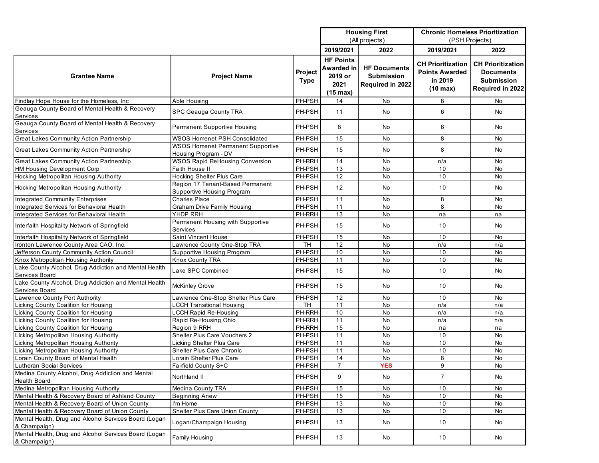|                                                                         |                                                                  |             | <b>Housing First</b> |                         | <b>Chronic Homeless Prioritization</b> |                          |  |
|-------------------------------------------------------------------------|------------------------------------------------------------------|-------------|----------------------|-------------------------|----------------------------------------|--------------------------|--|
|                                                                         |                                                                  |             | (All projects)       |                         | (PSH Projects)                         |                          |  |
|                                                                         |                                                                  |             | 2019/2021            | 2022                    | 2019/2021                              | 2022                     |  |
|                                                                         |                                                                  |             | <b>HF Points</b>     |                         |                                        |                          |  |
|                                                                         |                                                                  |             | <b>Awarded in</b>    | <b>HF Documents</b>     | <b>CH Prioritization</b>               | <b>CH Prioritization</b> |  |
| <b>Grantee Name</b>                                                     | <b>Project Name</b>                                              | Project     | 2019 or              | <b>Submission</b>       | <b>Points Awarded</b>                  | Documents                |  |
|                                                                         |                                                                  | <b>Type</b> |                      |                         | in 2019                                | <b>Submission</b>        |  |
|                                                                         |                                                                  |             | 2021                 | <b>Required in 2022</b> | $(10 \text{ max})$                     | Required in 2022         |  |
|                                                                         |                                                                  |             | $(15 \text{ max})$   |                         |                                        |                          |  |
| Findlay Hope House for the Homeless, Inc.                               | Able Housing                                                     | PH-PSH      | 14                   | No                      | 8                                      | <b>No</b>                |  |
| Geauga County Board of Mental Health & Recovery<br>Services             | <b>SPC Geauga County TRA</b>                                     | PH-PSH      | 11                   | No                      | 6                                      | No                       |  |
| Geauga County Board of Mental Health & Recovery<br>Services             | <b>Permanent Supportive Housing</b>                              | PH-PSH      | 8                    | <b>No</b>               | 6                                      | No.                      |  |
| Great Lakes Community Action Partnership                                | WSOS Homenet PSH Consolidated                                    | PH-PSH      | 15                   | No                      | 8                                      | No                       |  |
| Great Lakes Community Action Partnership                                | <b>WSOS Homenet Permanent Supportive</b><br>Housing Program - DV | PH-PSH      | 15                   | <b>No</b>               | 8                                      | No                       |  |
| Great Lakes Community Action Partnership                                | <b>WSOS Rapid ReHousing Conversion</b>                           | PH-RRH      | 14                   | No                      | n/a                                    | No                       |  |
| HM Housing Development Corp                                             | Faith House II                                                   | PH-PSH      | 13                   | <b>No</b>               | 10                                     | <b>No</b>                |  |
| Hocking Metropolitan Housing Authority                                  | <b>Hocking Shelter Plus Care</b>                                 | PH-PSH      | 12                   | No                      | 10                                     | No                       |  |
| Hocking Metropolitan Housing Authority                                  | Region 17 Tenant-Based Permanent<br>Supportive Housing Program   | PH-PSH      | 12                   | No                      | 10                                     | No                       |  |
| <b>Integrated Community Enterprises</b>                                 | <b>Charles Place</b>                                             | PH-PSH      | 11                   | No                      | 8                                      | No                       |  |
| Integrated Services for Behavioral Health                               | Graham Drive Family Housing                                      | PH-PSH      | 11                   | No                      | 8                                      | <b>No</b>                |  |
| <b>Integrated Services for Behavioral Health</b>                        | YHDP RRH                                                         | PH-RRH      | 13                   | No                      | na                                     | na                       |  |
| Interfaith Hospitality Network of Springfield                           | Permanent Housing with Supportive<br>Services                    | PH-PSH      | 15                   | No                      | 10                                     | No.                      |  |
| Interfaith Hospitality Network of Springfield                           | Saint Vincent House                                              | PH-PSH      | 15                   | No                      | 10                                     | No                       |  |
| Ironton Lawrence County Area CAO, Inc.                                  | Lawrence County One-Stop TRA                                     | TH          | 12                   | No                      | n/a                                    | n/a                      |  |
| Jefferson County Community Action Council                               | Supportive Housing Program                                       | PH-PSH      | 10                   | No                      | 10                                     | <b>No</b>                |  |
| Knox Metropolitan Housing Authority                                     | Knox County TRA                                                  | PH-PSH      | 11                   | No                      | 10                                     | No                       |  |
| Lake County Alcohol, Drug Addiction and Mental Health                   |                                                                  |             |                      |                         |                                        |                          |  |
| Services Board                                                          | Lake SPC Combined                                                | PH-PSH      | 15                   | No                      | 10                                     | <b>No</b>                |  |
| Lake County Alcohol, Drug Addiction and Mental Health<br>Services Board | <b>McKinley Grove</b>                                            | PH-PSH      | 15                   | No                      | 10                                     | No                       |  |
| Lawrence County Port Authority                                          | Lawrence One-Stop Shelter Plus Care                              | PH-PSH      | 12                   | No                      | 10                                     | No                       |  |
| Licking County Coalition for Housing                                    | <b>CCH Transitional Housing</b>                                  | TH          | $\overline{11}$      | No                      | n/a                                    | n/a                      |  |
| Licking County Coalition for Housing                                    | <b>LCCH Rapid Re-Housing</b>                                     | PH-RRH      | 10                   | No                      | n/a                                    | n/a                      |  |
| Licking County Coalition for Housing                                    | Rapid Re-Housing Ohio                                            | PH-RRH      | 11                   | No                      | n/a                                    | n/a                      |  |
| Licking County Coalition for Housing                                    | Region 9 RRH                                                     | PH-RRH      | 15                   | <b>No</b>               | na                                     | na                       |  |
| Licking Metropolitan Housing Authority                                  | Shelter Plus Care Vouchers 2                                     | PH-PSH      | 11                   | No                      | 10                                     | No                       |  |
| Licking Metropolitan Housing Authority                                  | Licking Shelter Plus Care                                        | PH-PSH      | 11                   | <b>No</b>               | 10                                     | No                       |  |
| Licking Metropolitan Housing Authority                                  | Shelter Plus Care Chronic                                        | PH-PSH      | 11                   | No                      | 10                                     | <b>No</b>                |  |
| Lorain County Board of Mental Health                                    | Lorain Shelter Plus Care                                         | PH-PSH      | 14                   | No                      | 8                                      | No                       |  |
| Lutheran Social Services                                                | Fairfield County S+C                                             | PH-PSH      | $\overline{7}$       | <b>YES</b>              | $\overline{9}$                         | $\overline{N}$           |  |
| Medina County Alcohol, Drug Addiction and Mental<br><b>Health Board</b> | Northland II                                                     | PH-PSH      | 9                    | No                      | $\overline{7}$                         | No                       |  |
| Medina Metropolitan Housing Authority                                   | Medina County TRA                                                | PH-PSH      | 15                   | No                      | 10                                     | No                       |  |
| Mental Health & Recovery Board of Ashland County                        | <b>Beginning Anew</b>                                            | PH-PSH      | 15                   | No                      | 10                                     | No                       |  |
| Mental Health & Recovery Board of Union County                          | I'm Home                                                         | PH-PSH      | 13                   | No                      | 10                                     | No                       |  |
| Mental Health & Recovery Board of Union County                          | Shelter Plus Care Union County                                   | PH-PSH      | 13                   | No                      | 10                                     | No                       |  |
| Mental Health, Drug and Alcohol Services Board (Logan<br>& Champaign)   | Logan/Champaign Housing                                          | PH-PSH      | 13                   | No                      | 10                                     | No                       |  |
| Mental Health, Drug and Alcohol Services Board (Logan                   | Family Housing                                                   | PH-PSH      | 13                   | No                      | 10                                     | No                       |  |
| & Champaign)                                                            |                                                                  |             |                      |                         |                                        |                          |  |